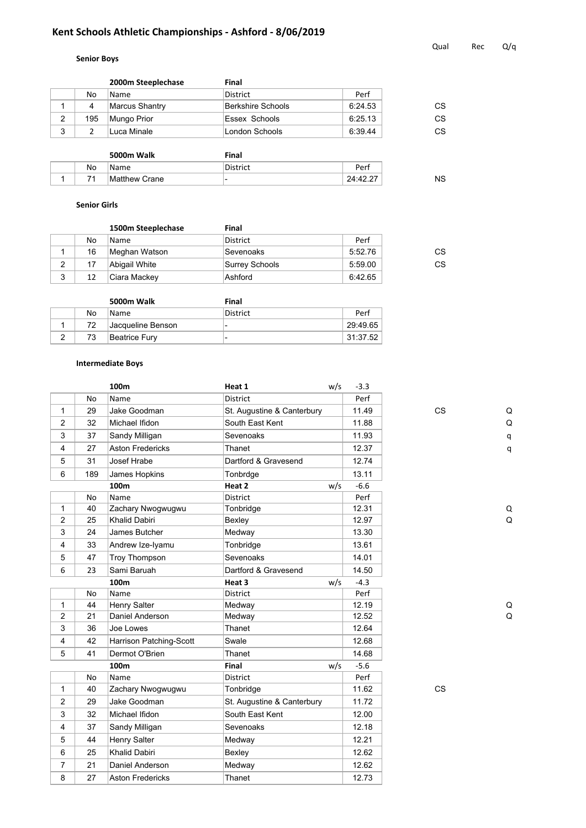# **Kent Schools Athletic Championships - Ashford - 8/06/2019**

# **Senior Boys**

|   |     | 2000m Steeplechase | Final             |         |    |
|---|-----|--------------------|-------------------|---------|----|
|   | No  | Name               | <b>District</b>   | Perf    |    |
|   |     | Marcus Shantry     | Berkshire Schools | 6:24.53 | СS |
| 2 | 195 | Mungo Prior        | Essex Schools     | 6:25.13 | СS |
| 3 |     | Luca Minale        | London Schools    | 6:39.44 | СS |
|   |     |                    |                   |         |    |

|    | 5000m Walk    | Final                    |          |
|----|---------------|--------------------------|----------|
| No | <b>Name</b>   | District                 | Perf     |
|    | Matthew Crane | $\overline{\phantom{a}}$ | 24:42.27 |

### **Senior Girls**

|        |    | 1500m Steeplechase | Final                  |         |    |
|--------|----|--------------------|------------------------|---------|----|
|        | No | <b>Name</b>        | District               | Perf    |    |
|        | 16 | Meghan Watson      | <sup>⊦</sup> Sevenoaks | 5:52.76 | CS |
| 2      | 17 | Abigail White      | Surrey Schools         | 5:59.00 | СS |
| ◠<br>د | 12 | Ciara Mackey       | Ashford                | 6:42.65 |    |

|    | 5000m Walk        | Final    |          |
|----|-------------------|----------|----------|
| No | <b>Name</b>       | District | Perf     |
| 72 | Jacqueline Benson | -        | 29:49.65 |
| 73 | Beatrice Fury     | -        | 31:37.52 |

### **Intermediate Boys**

|                |     | 100m                    | Heat 1                     | w/s | $-3.3$ |           |   |
|----------------|-----|-------------------------|----------------------------|-----|--------|-----------|---|
|                | No  | Name                    | <b>District</b>            |     | Perf   |           |   |
| $\mathbf{1}$   | 29  | Jake Goodman            | St. Augustine & Canterbury |     | 11.49  | <b>CS</b> | C |
| 2              | 32  | Michael Ifidon          | South East Kent            |     | 11.88  |           | C |
| 3              | 37  | Sandy Milligan          | Sevenoaks                  |     | 11.93  |           | q |
| $\overline{4}$ | 27  | <b>Aston Fredericks</b> | Thanet                     |     | 12.37  |           | q |
| 5              | 31  | Josef Hrabe             | Dartford & Gravesend       |     | 12.74  |           |   |
| 6              | 189 | James Hopkins           | Tonbrdge                   |     | 13.11  |           |   |
|                |     | 100m                    | Heat 2                     | w/s | $-6.6$ |           |   |
|                | No  | Name                    | District                   |     | Perf   |           |   |
| 1              | 40  | Zachary Nwogwugwu       | Tonbridge                  |     | 12.31  |           | Q |
| 2              | 25  | <b>Khalid Dabiri</b>    | Bexley                     |     | 12.97  |           | C |
| 3              | 24  | James Butcher           | Medway                     |     | 13.30  |           |   |
| 4              | 33  | Andrew Ize-Iyamu        | Tonbridge                  |     | 13.61  |           |   |
| 5              | 47  | <b>Troy Thompson</b>    | Sevenoaks                  |     | 14.01  |           |   |
| 6              | 23  | Sami Baruah             | Dartford & Gravesend       |     | 14.50  |           |   |
|                |     | 100m                    | Heat 3                     | w/s | $-4.3$ |           |   |
|                | No  | Name                    | District                   |     | Perf   |           |   |
| $\mathbf{1}$   | 44  | Henry Salter            | Medway                     |     | 12.19  |           | C |
| 2              | 21  | Daniel Anderson         | Medway                     |     | 12.52  |           | C |
| 3              | 36  | Joe Lowes               | Thanet                     |     | 12.64  |           |   |
| 4              | 42  | Harrison Patching-Scott | Swale                      |     | 12.68  |           |   |
| 5              | 41  | Dermot O'Brien          | Thanet                     |     | 14.68  |           |   |
|                |     | 100m                    | Final                      | w/s | $-5.6$ |           |   |
|                | No  | Name                    | <b>District</b>            |     | Perf   |           |   |
| $\mathbf{1}$   | 40  | Zachary Nwogwugwu       | Tonbridge                  |     | 11.62  | <b>CS</b> |   |
| 2              | 29  | Jake Goodman            | St. Augustine & Canterbury |     | 11.72  |           |   |
| 3              | 32  | Michael Ifidon          | South East Kent            |     | 12.00  |           |   |
| 4              | 37  | Sandy Milligan          | Sevenoaks                  |     | 12.18  |           |   |
| 5              | 44  | Henry Salter            | Medway                     |     | 12.21  |           |   |
| 6              | 25  | <b>Khalid Dabiri</b>    | Bexley                     |     | 12.62  |           |   |
| $\overline{7}$ | 21  | Daniel Anderson         | Medway                     |     | 12.62  |           |   |
| 8              | 27  | <b>Aston Fredericks</b> | Thanet                     |     | 12.73  |           |   |
|                |     |                         |                            |     |        |           |   |

Qual Rec Q/q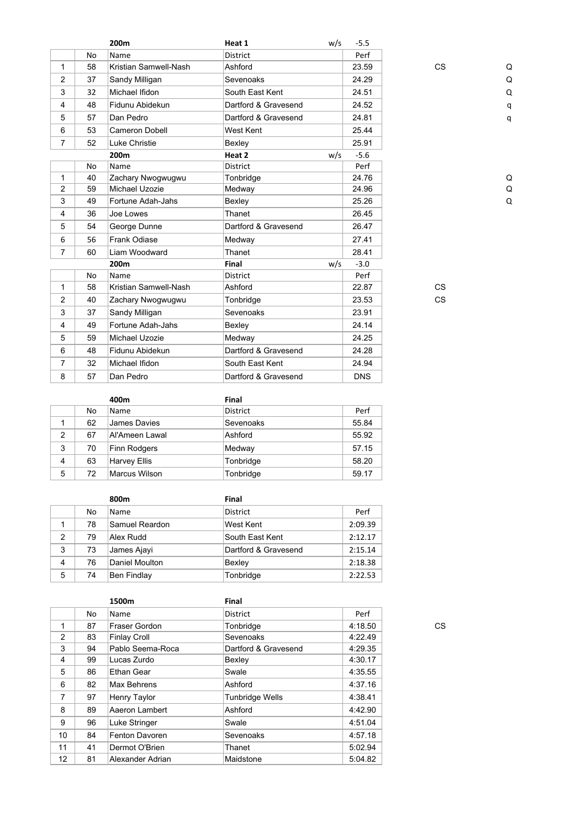|                |           | 200m                  | Heat 1               | w/s | $-5.5$     |           |   |
|----------------|-----------|-----------------------|----------------------|-----|------------|-----------|---|
|                | No        | Name                  | <b>District</b>      |     | Perf       |           |   |
| $\mathbf{1}$   | 58        | Kristian Samwell-Nash | Ashford              |     | 23.59      | <b>CS</b> | C |
| 2              | 37        | Sandy Milligan        | Sevenoaks            |     | 24.29      |           | C |
| 3              | 32        | Michael Ifidon        | South East Kent      |     | 24.51      |           | Q |
| 4              | 48        | Fidunu Abidekun       | Dartford & Gravesend |     | 24.52      |           | q |
| 5              | 57        | Dan Pedro             | Dartford & Gravesend |     | 24.81      |           | q |
| 6              | 53        | <b>Cameron Dobell</b> | West Kent            |     | 25.44      |           |   |
| $\overline{7}$ | 52        | <b>Luke Christie</b>  | Bexley               |     | 25.91      |           |   |
|                |           | 200 <sub>m</sub>      | Heat 2               | w/s | $-5.6$     |           |   |
|                | <b>No</b> | Name                  | <b>District</b>      |     | Perf       |           |   |
| $\mathbf{1}$   | 40        | Zachary Nwogwugwu     | Tonbridge            |     | 24.76      |           | C |
| $\overline{2}$ | 59        | Michael Uzozie        | Medway               |     | 24.96      |           | C |
| 3              | 49        | Fortune Adah-Jahs     | Bexley               |     | 25.26      |           | Q |
| 4              | 36        | Joe Lowes             | Thanet               |     | 26.45      |           |   |
| 5              | 54        | George Dunne          | Dartford & Gravesend |     | 26.47      |           |   |
| 6              | 56        | Frank Odiase          | Medway               |     | 27.41      |           |   |
| $\overline{7}$ | 60        | Liam Woodward         | Thanet               |     | 28.41      |           |   |
|                |           | 200m                  | Final                | w/s | $-3.0$     |           |   |
|                | No        | Name                  | <b>District</b>      |     | Perf       |           |   |
| $\mathbf{1}$   | 58        | Kristian Samwell-Nash | Ashford              |     | 22.87      | <b>CS</b> |   |
| 2              | 40        | Zachary Nwogwugwu     | Tonbridge            |     | 23.53      | <b>CS</b> |   |
| 3              | 37        | Sandy Milligan        | Sevenoaks            |     | 23.91      |           |   |
| 4              | 49        | Fortune Adah-Jahs     | Bexley               |     | 24.14      |           |   |
| 5              | 59        | Michael Uzozie        | Medway               |     | 24.25      |           |   |
| 6              | 48        | Fidunu Abidekun       | Dartford & Gravesend |     | 24.28      |           |   |
| $\overline{7}$ | 32        | Michael Ifidon        | South East Kent      |     | 24.94      |           |   |
| 8              | 57        | Dan Pedro             | Dartford & Gravesend |     | <b>DNS</b> |           |   |
|                |           |                       |                      |     |            |           |   |

|                |    | 400m                | Final           |       |
|----------------|----|---------------------|-----------------|-------|
|                | No | Name                | <b>District</b> | Perf  |
|                | 62 | James Davies        | Sevenoaks       | 55.84 |
| $\overline{2}$ | 67 | Al'Ameen Lawal      | Ashford         | 55.92 |
| 3              | 70 | Finn Rodgers        | Medway          | 57.15 |
| 4              | 63 | <b>Harvey Ellis</b> | Tonbridge       | 58.20 |
| 5              | 72 | Marcus Wilson       | Tonbridge       | 59.17 |

|   |    | 800m               | Final                |         |
|---|----|--------------------|----------------------|---------|
|   | No | <b>Name</b>        | <b>District</b>      | Perf    |
|   | 78 | Samuel Reardon     | West Kent            | 2:09.39 |
| 2 | 79 | Alex Rudd          | South Fast Kent      | 2:12.17 |
| 3 | 73 | James Ajayi        | Dartford & Gravesend | 2:15.14 |
| 4 | 76 | Daniel Moulton     | Bexley               | 2:18.38 |
| 5 | 74 | <b>Ben Findlay</b> | Tonbridge            | 2:22.53 |

|                |    | 1500m               | Final                  |         |    |
|----------------|----|---------------------|------------------------|---------|----|
|                | No | Name                | <b>District</b>        | Perf    |    |
| 1              | 87 | Fraser Gordon       | Tonbridge              | 4:18.50 | CS |
| $\overline{2}$ | 83 | <b>Finlay Croll</b> | Sevenoaks              | 4:22.49 |    |
| 3              | 94 | Pablo Seema-Roca    | Dartford & Gravesend   | 4:29.35 |    |
| 4              | 99 | Lucas Zurdo         | Bexley                 | 4:30.17 |    |
| 5              | 86 | Ethan Gear          | Swale                  | 4:35.55 |    |
| 6              | 82 | Max Behrens         | Ashford                | 4:37.16 |    |
| $\overline{7}$ | 97 | Henry Taylor        | <b>Tunbridge Wells</b> | 4:38.41 |    |
| 8              | 89 | Aaeron Lambert      | Ashford                | 4:42.90 |    |
| 9              | 96 | Luke Stringer       | Swale                  | 4:51.04 |    |
| 10             | 84 | Fenton Davoren      | Sevenoaks              | 4:57.18 |    |
| 11             | 41 | Dermot O'Brien      | Thanet                 | 5:02.94 |    |
| 12             | 81 | Alexander Adrian    | Maidstone              | 5:04.82 |    |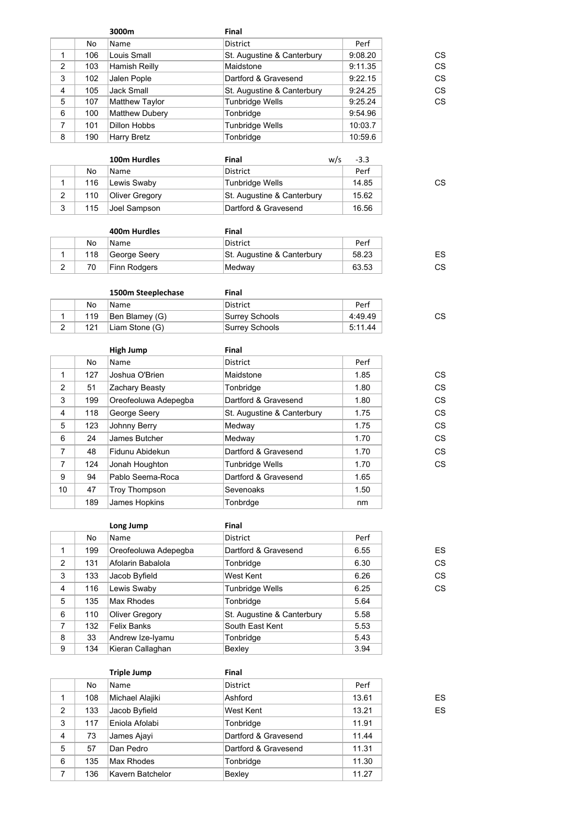|   |     | 3000m                 | Final                      |         |    |
|---|-----|-----------------------|----------------------------|---------|----|
|   | No. | <b>Name</b>           | <b>District</b>            | Perf    |    |
| 1 | 106 | Louis Small           | St. Augustine & Canterbury | 9:08.20 | СS |
| 2 | 103 | Hamish Reilly         | Maidstone                  | 9:11.35 | CS |
| 3 | 102 | Jalen Pople           | Dartford & Gravesend       | 9:22.15 | CS |
| 4 | 105 | Jack Small            | St. Augustine & Canterbury | 9:24.25 | CS |
| 5 | 107 | Matthew Taylor        | <b>Tunbridge Wells</b>     | 9:25.24 | CS |
| 6 | 100 | <b>Matthew Dubery</b> | Tonbridge                  | 9:54.96 |    |
| 7 | 101 | <b>Dillon Hobbs</b>   | <b>Tunbridge Wells</b>     | 10:03.7 |    |
| 8 | 190 | <b>Harry Bretz</b>    | Tonbridge                  | 10:59.6 |    |
|   |     |                       |                            |         |    |

|   |     | 100m Hurdles   | Final                      | w/s | $-3.3$ |
|---|-----|----------------|----------------------------|-----|--------|
|   | No  | Name.          | District                   |     | Perf   |
|   | 116 | Lewis Swaby    | Tunbridge Wells            |     | 14.85  |
| 2 | 110 | Oliver Gregory | St. Augustine & Canterbury |     | 15.62  |
| 3 | 115 | Joel Sampson   | Dartford & Gravesend       |     | 16.56  |

|     | 400m Hurdles | Final                      |       |    |
|-----|--------------|----------------------------|-------|----|
| No  | Name.        | District                   | Perf  |    |
| 118 | George Seery | St. Augustine & Canterbury | 58.23 | ES |
| 70  | Finn Rodgers | Medwav                     | 63.53 | СS |

|        |     | 1500m Steeplechase | Final           |         |
|--------|-----|--------------------|-----------------|---------|
|        | No  | Name.              | District        | Perf    |
|        | 119 | Ben Blamey (G)     | Surrey Schools  | 4:49.49 |
| $\sim$ | 121 | Liam Stone (G)     | ⊺Surrey Schools | 5:11.44 |

|                |     | High Jump            | Final                      |      |    |
|----------------|-----|----------------------|----------------------------|------|----|
|                | No  | Name                 | <b>District</b>            | Perf |    |
| 1              | 127 | Joshua O'Brien       | Maidstone                  | 1.85 | СS |
| 2              | 51  | Zachary Beasty       | Tonbridge                  | 1.80 | CS |
| 3              | 199 | Oreofeoluwa Adepegba | Dartford & Gravesend       | 1.80 | CS |
| $\overline{4}$ | 118 | George Seery         | St. Augustine & Canterbury | 1.75 | CS |
| 5              | 123 | Johnny Berry         | Medway                     | 1.75 | CS |
| 6              | 24  | James Butcher        | Medway                     | 1.70 | CS |
| $\overline{7}$ | 48  | Fidunu Abidekun      | Dartford & Gravesend       | 1.70 | CS |
| $\overline{7}$ | 124 | Jonah Houghton       | <b>Tunbridge Wells</b>     | 1.70 | CS |
| 9              | 94  | Pablo Seema-Roca     | Dartford & Gravesend       | 1.65 |    |
| 10             | 47  | <b>Troy Thompson</b> | Sevenoaks                  | 1.50 |    |
|                | 189 | James Hopkins        | Tonbrdge                   | nm   |    |

|                |     | Long Jump             | Final                      |      |    |
|----------------|-----|-----------------------|----------------------------|------|----|
|                | No  | Name                  | <b>District</b>            | Perf |    |
| 1              | 199 | Oreofeoluwa Adepegba  | Dartford & Gravesend       | 6.55 | ES |
| $\overline{2}$ | 131 | Afolarin Babalola     | Tonbridge                  | 6.30 | CS |
| 3              | 133 | Jacob Byfield         | West Kent                  | 6.26 | CS |
| 4              | 116 | Lewis Swaby           | Tunbridge Wells            | 6.25 | CS |
| 5              | 135 | Max Rhodes            | Tonbridge                  | 5.64 |    |
| 6              | 110 | <b>Oliver Gregory</b> | St. Augustine & Canterbury | 5.58 |    |
| 7              | 132 | <b>Felix Banks</b>    | South East Kent            | 5.53 |    |
| 8              | 33  | Andrew Ize-Iyamu      | Tonbridge                  | 5.43 |    |
| 9              | 134 | Kieran Callaghan      | Bexley                     | 3.94 |    |

|   |     | <b>Triple Jump</b> | Final                |       |    |
|---|-----|--------------------|----------------------|-------|----|
|   | No  | Name               | <b>District</b>      | Perf  |    |
| 1 | 108 | Michael Alajiki    | Ashford              | 13.61 | ES |
| 2 | 133 | Jacob Byfield      | West Kent            | 13.21 | ES |
| 3 | 117 | Eniola Afolabi     | Tonbridge            | 11.91 |    |
| 4 | 73  | James Ajayi        | Dartford & Gravesend | 11.44 |    |
| 5 | 57  | Dan Pedro          | Dartford & Gravesend | 11.31 |    |
| 6 | 135 | Max Rhodes         | Tonbridge            | 11.30 |    |
| 7 | 136 | Kavern Batchelor   | Bexley               | 11.27 |    |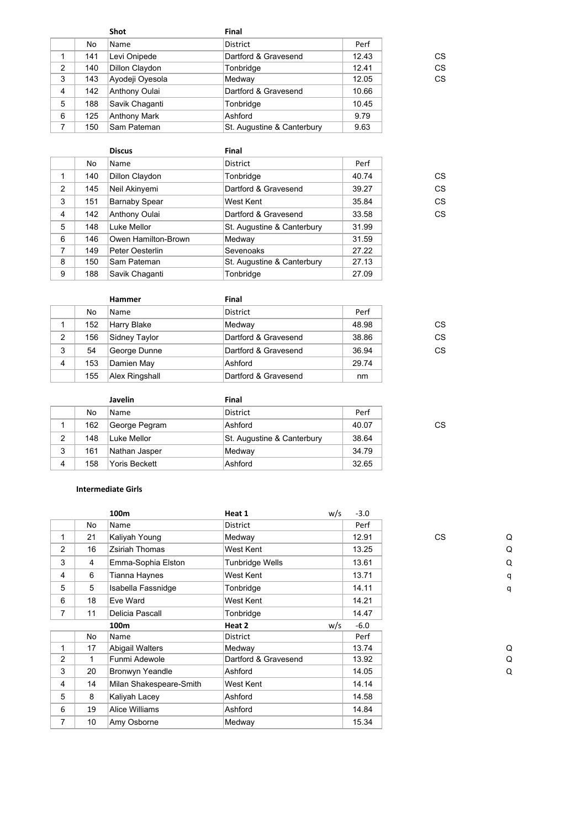|   |     | <b>Shot</b>         | Final                      |       |    |
|---|-----|---------------------|----------------------------|-------|----|
|   | No. | <b>Name</b>         | <b>District</b>            | Perf  |    |
|   | 141 | Levi Onipede        | Dartford & Gravesend       | 12.43 | CS |
| 2 | 140 | Dillon Claydon      | Tonbridge                  | 12.41 | CS |
| 3 | 143 | Ayodeji Oyesola     | Medway                     | 12.05 | CS |
| 4 | 142 | Anthony Oulai       | Dartford & Gravesend       | 10.66 |    |
| 5 | 188 | Savik Chaganti      | Tonbridge                  | 10.45 |    |
| 6 | 125 | <b>Anthony Mark</b> | Ashford                    | 9.79  |    |
| 7 | 150 | Sam Pateman         | St. Augustine & Canterbury | 9.63  |    |

|   |     | <b>Discus</b>        | Final                      |       |    |
|---|-----|----------------------|----------------------------|-------|----|
|   | No. | <b>Name</b>          | <b>District</b>            | Perf  |    |
| 1 | 140 | Dillon Claydon       | Tonbridge                  | 40.74 | CS |
| 2 | 145 | Neil Akinyemi        | Dartford & Gravesend       | 39.27 | CS |
| 3 | 151 | <b>Barnaby Spear</b> | West Kent                  | 35.84 | CS |
| 4 | 142 | Anthony Oulai        | Dartford & Gravesend       | 33.58 | CS |
| 5 | 148 | Luke Mellor          | St. Augustine & Canterbury | 31.99 |    |
| 6 | 146 | Owen Hamilton-Brown  | Medway                     | 31.59 |    |
| 7 | 149 | Peter Oesterlin      | Sevenoaks                  | 27.22 |    |
| 8 | 150 | Sam Pateman          | St. Augustine & Canterbury | 27.13 |    |
| 9 | 188 | Savik Chaganti       | Tonbridge                  | 27.09 |    |

|                |     | <b>Hammer</b>  | Final                |       |    |
|----------------|-----|----------------|----------------------|-------|----|
|                | No  | Name           | <b>District</b>      | Perf  |    |
|                | 152 | Harry Blake    | Medway               | 48.98 | СS |
| $\overline{2}$ | 156 | Sidney Taylor  | Dartford & Gravesend | 38.86 | CS |
| 3              | 54  | George Dunne   | Dartford & Gravesend | 36.94 | CS |
| 4              | 153 | Damien May     | Ashford              | 29.74 |    |
|                | 155 | Alex Ringshall | Dartford & Gravesend | nm    |    |

|   |     | Javelin              | Final                      |       |    |
|---|-----|----------------------|----------------------------|-------|----|
|   | No  | <b>Name</b>          | <b>District</b>            | Perf  |    |
|   | 162 | George Pegram        | Ashford                    | 40.07 | СS |
| 2 | 148 | Luke Mellor          | St. Augustine & Canterbury | 38.64 |    |
| 3 | 161 | Nathan Jasper        | Medway                     | 34.79 |    |
| 4 | 158 | <b>Yoris Beckett</b> | Ashford                    | 32.65 |    |

### **Intermediate Girls**

|                |                 | 100m                    | Heat 1                 | w/s | $-3.0$ |           |   |
|----------------|-----------------|-------------------------|------------------------|-----|--------|-----------|---|
|                | No              | Name                    | District               |     | Perf   |           |   |
| 1              | 21              | Kaliyah Young           | Medway                 |     | 12.91  | <b>CS</b> | C |
| 2              | 16              | Zsiriah Thomas          | West Kent              |     | 13.25  |           | C |
| 3              | 4               | Emma-Sophia Elston      | <b>Tunbridge Wells</b> |     | 13.61  |           | Q |
| 4              | 6               | Tianna Haynes           | West Kent              |     | 13.71  |           | q |
| 5              | 5               | Isabella Fassnidge      | Tonbridge              |     | 14.11  |           | q |
| 6              | 18              | Eve Ward                | West Kent              |     | 14.21  |           |   |
| $\overline{7}$ | 11              | Delicia Pascall         | Tonbridge              |     | 14.47  |           |   |
|                |                 | 100m                    | Heat 2                 | w/s | $-6.0$ |           |   |
|                | No              | Name                    | District               |     | Perf   |           |   |
| 1              | 17              | Abigail Walters         | Medway                 |     | 13.74  |           | C |
| $\overline{2}$ | 1               | Funmi Adewole           | Dartford & Gravesend   |     | 13.92  |           | C |
| 3              | 20              | Bronwyn Yeandle         | Ashford                |     | 14.05  |           | Q |
| $\overline{4}$ | 14              | Milan Shakespeare-Smith | West Kent              |     | 14.14  |           |   |
| 5              | 8               | Kaliyah Lacey           | Ashford                |     | 14.58  |           |   |
| 6              | 19              | <b>Alice Williams</b>   | Ashford                |     | 14.84  |           |   |
| $\overline{7}$ | 10 <sup>°</sup> | Amy Osborne             | Medway                 |     | 15.34  |           |   |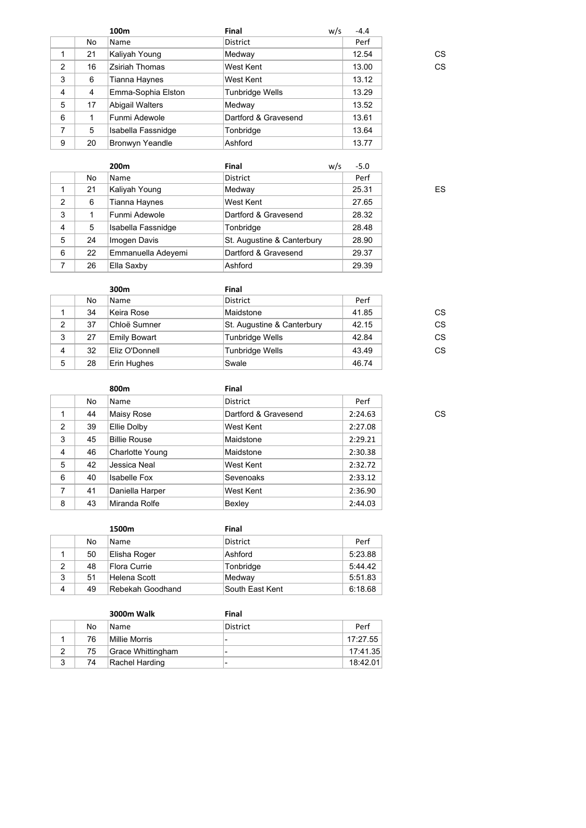|                |    | 100m                  | Final                  | w/s | $-4.4$ |    |
|----------------|----|-----------------------|------------------------|-----|--------|----|
|                | No | Name                  | District               |     | Perf   |    |
|                | 21 | Kaliyah Young         | Medway                 |     | 12.54  | CS |
| 2              | 16 | <b>Zsiriah Thomas</b> | West Kent              |     | 13.00  | CS |
| 3              | 6  | Tianna Haynes         | West Kent              |     | 13.12  |    |
| $\overline{4}$ | 4  | Emma-Sophia Elston    | <b>Tunbridge Wells</b> |     | 13.29  |    |
| 5              | 17 | Abigail Walters       | Medway                 |     | 13.52  |    |
| 6              |    | Funmi Adewole         | Dartford & Gravesend   |     | 13.61  |    |
| 7              | 5  | Isabella Fassnidge    | Tonbridge              |     | 13.64  |    |
| 9              | 20 | Bronwyn Yeandle       | Ashford                |     | 13.77  |    |
|                |    |                       |                        |     |        |    |

|                         |    | 200 <sub>m</sub>   | Final                      | w/s | $-5.0$ |
|-------------------------|----|--------------------|----------------------------|-----|--------|
|                         | No | Name               | <b>District</b>            |     | Perf   |
|                         | 21 | Kaliyah Young      | Medway                     |     | 25.31  |
| 2                       | 6  | Tianna Haynes      | West Kent                  |     | 27.65  |
| 3                       |    | Funmi Adewole      | Dartford & Gravesend       |     | 28.32  |
| $\overline{\mathbf{4}}$ | 5  | Isabella Fassnidge | Tonbridge                  |     | 28.48  |
| 5                       | 24 | Imogen Davis       | St. Augustine & Canterbury |     | 28.90  |
| 6                       | 22 | Emmanuella Adeyemi | Dartford & Gravesend       |     | 29.37  |
| 7                       | 26 | Ella Saxby         | Ashford                    |     | 29.39  |

|   |    | 300m                | Final                      |       |    |
|---|----|---------------------|----------------------------|-------|----|
|   | No | Name                | <b>District</b>            | Perf  |    |
|   | 34 | Keira Rose          | Maidstone                  | 41.85 | СS |
| 2 | 37 | Chloë Sumner        | St. Augustine & Canterbury | 42.15 | CS |
| 3 | 27 | <b>Emily Bowart</b> | <b>Tunbridge Wells</b>     | 42.84 | CS |
| 4 | 32 | Eliz O'Donnell      | Tunbridge Wells            | 43.49 | CS |
| 5 | 28 | Erin Hughes         | Swale                      | 46.74 |    |

|                |    | 800m                | Final                |         |    |
|----------------|----|---------------------|----------------------|---------|----|
|                | No | Name                | <b>District</b>      | Perf    |    |
|                | 44 | Maisy Rose          | Dartford & Gravesend | 2:24.63 | CS |
| 2              | 39 | Ellie Dolby         | West Kent            | 2:27.08 |    |
| 3              | 45 | <b>Billie Rouse</b> | Maidstone            | 2:29.21 |    |
| $\overline{4}$ | 46 | Charlotte Young     | Maidstone            | 2:30.38 |    |
| 5              | 42 | Jessica Neal        | West Kent            | 2:32.72 |    |
| 6              | 40 | <b>Isabelle Fox</b> | Sevenoaks            | 2:33.12 |    |
| 7              | 41 | Daniella Harper     | West Kent            | 2:36.90 |    |
| 8              | 43 | Miranda Rolfe       | Bexley               | 2:44.03 |    |
|                |    |                     |                      |         |    |

|   |    | 1500m            | Final           |         |
|---|----|------------------|-----------------|---------|
|   | No | <b>Name</b>      | <b>District</b> | Perf    |
|   | 50 | Elisha Roger     | Ashford         | 5:23.88 |
| 2 | 48 | Flora Currie     | Tonbridge       | 5:44.42 |
| 3 | 51 | Helena Scott     | Medway          | 5:51.83 |
| 4 | 49 | Rebekah Goodhand | South East Kent | 6:18.68 |

|   |     | <b>3000m Walk</b> | Final                    |          |
|---|-----|-------------------|--------------------------|----------|
|   | No. | <b>Name</b>       | District                 | Perf     |
|   | 76  | Millie Morris     | $\overline{\phantom{0}}$ | 17:27.55 |
|   | 75  | Grace Whittingham | $\overline{\phantom{0}}$ | 17:41.35 |
| વ | 74  | Rachel Harding    | $\overline{\phantom{0}}$ | 18:42.01 |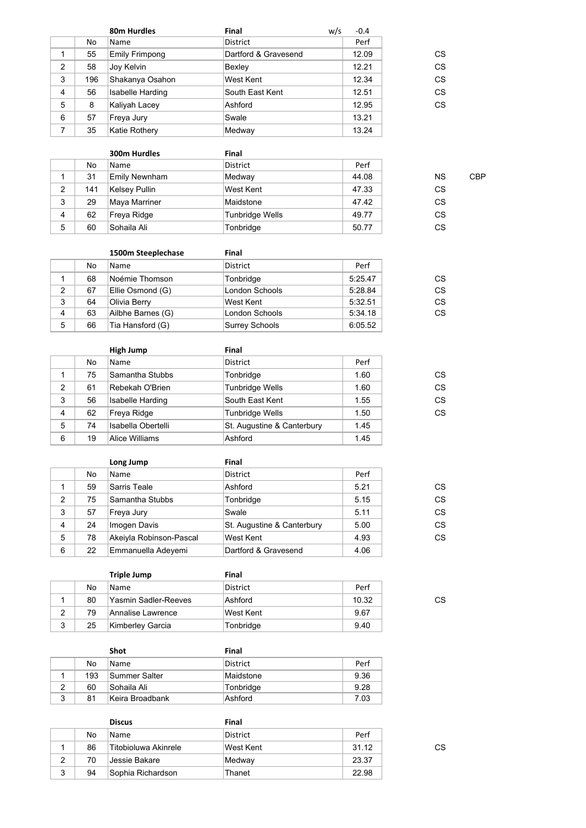|   |     | 80m Hurdles             | Final                | w/s | $-0.4$ |    |
|---|-----|-------------------------|----------------------|-----|--------|----|
|   | No  | Name                    | <b>District</b>      |     | Perf   |    |
|   | 55  | <b>Emily Frimpong</b>   | Dartford & Gravesend |     | 12.09  | CS |
| 2 | 58  | Joy Kelvin              | Bexley               |     | 12.21  | CS |
| 3 | 196 | Shakanya Osahon         | West Kent            |     | 12.34  | CS |
| 4 | 56  | <b>Isabelle Harding</b> | South East Kent      |     | 12.51  | CS |
| 5 | 8   | Kaliyah Lacey           | Ashford              |     | 12.95  | CS |
| 6 | 57  | Freya Jury              | Swale                |     | 13.21  |    |
| 7 | 35  | Katie Rothery           | Medway               |     | 13.24  |    |
|   |     |                         |                      |     |        |    |

|                |     | 300m Hurdles  | Final           |       |           |            |
|----------------|-----|---------------|-----------------|-------|-----------|------------|
|                | No  | Name          | <b>District</b> | Perf  |           |            |
|                | 31  | Emily Newnham | Medway          | 44.08 | <b>NS</b> | <b>CBP</b> |
| 2              | 141 | Kelsey Pullin | West Kent       | 47.33 | CS.       |            |
| 3              | 29  | Maya Marriner | Maidstone       | 47.42 | <b>CS</b> |            |
| $\overline{4}$ | 62  | Freya Ridge   | Tunbridge Wells | 49.77 | CS.       |            |
| 5              | 60  | Sohaila Ali   | Tonbridge       | 50.77 | СS        |            |

|                |    | 1500m Steeplechase | Final                 |         |    |
|----------------|----|--------------------|-----------------------|---------|----|
|                | No | <b>Name</b>        | <b>District</b>       | Perf    |    |
|                | 68 | Noémie Thomson     | Tonbridge             | 5:25.47 | CS |
| 2              | 67 | Ellie Osmond (G)   | London Schools        | 5:28.84 | CS |
| 3              | 64 | Olivia Berry       | West Kent             | 5:32.51 | CS |
| $\overline{4}$ | 63 | Ailbhe Barnes (G)  | <b>London Schools</b> | 5:34.18 | CS |
| 5              | 66 | Tia Hansford (G)   | Surrey Schools        | 6:05.52 |    |

|   |    | <b>High Jump</b>        | Final                      |      |    |
|---|----|-------------------------|----------------------------|------|----|
|   | No | Name                    | <b>District</b>            | Perf |    |
|   | 75 | Samantha Stubbs         | Tonbridge                  | 1.60 | CS |
| 2 | 61 | Rebekah O'Brien         | <b>Tunbridge Wells</b>     | 1.60 | CS |
| 3 | 56 | <b>Isabelle Harding</b> | South East Kent            | 1.55 | CS |
| 4 | 62 | Freya Ridge             | <b>Tunbridge Wells</b>     | 1.50 | CS |
| 5 | 74 | Isabella Obertelli      | St. Augustine & Canterbury | 1.45 |    |
| 6 | 19 | Alice Williams          | Ashford                    | 1.45 |    |
|   |    |                         |                            |      |    |

|                |    | Long Jump               | Final                      |      |    |
|----------------|----|-------------------------|----------------------------|------|----|
|                | No | Name                    | <b>District</b>            | Perf |    |
|                | 59 | Sarris Teale            | Ashford                    | 5.21 | CS |
| $\overline{2}$ | 75 | Samantha Stubbs         | Tonbridge                  | 5.15 | CS |
| 3              | 57 | Freya Jury              | Swale                      | 5.11 | CS |
| 4              | 24 | Imogen Davis            | St. Augustine & Canterbury | 5.00 | CS |
| 5              | 78 | Akeiyla Robinson-Pascal | West Kent                  | 4.93 | CS |
| 6              | 22 | Emmanuella Adeyemi      | Dartford & Gravesend       | 4.06 |    |

|   |    | <b>Triple Jump</b>   | Final           |       |    |
|---|----|----------------------|-----------------|-------|----|
|   | No | Name                 | <b>District</b> | Perf  |    |
|   | 80 | Yasmin Sadler-Reeves | Ashford         | 10.32 | СS |
| 2 | 79 | Annalise Lawrence    | West Kent       | 9.67  |    |
| 3 | 25 | Kimberley Garcia     | Tonbridge       | 9.40  |    |

|   |     | Shot            | Final     |      |
|---|-----|-----------------|-----------|------|
|   | No  | <b>Name</b>     | District  | Perf |
|   | 193 | Summer Salter   | Maidstone | 9.36 |
|   | 60  | ∣Sohaila Ali    | Tonbridge | 9.28 |
| 3 | 81  | Keira Broadbank | Ashford   | 7.03 |

|   |    | <b>Discus</b>        | Final     |       |    |
|---|----|----------------------|-----------|-------|----|
|   | No | <b>Name</b>          | District  | Perf  |    |
|   | 86 | Titobioluwa Akinrele | West Kent | 31.12 | СS |
| 2 | 70 | Jessie Bakare        | Medway    | 23.37 |    |
| 3 | 94 | Sophia Richardson_   | Thanet    | 22.98 |    |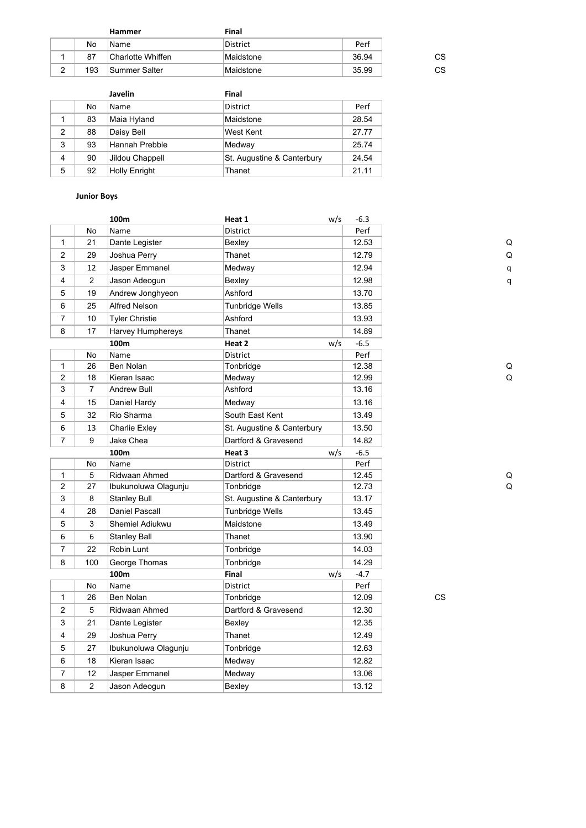|        |     | Hammer             | Final     |       |    |
|--------|-----|--------------------|-----------|-------|----|
|        | No  | Name               | District  | Perf  |    |
|        | 87  | ∣Charlotte Whiffen | Maidstone | 36.94 | СS |
| ◠<br>▵ | 193 | Summer Salter      | Maidstone | 35.99 | СS |

|   |    | <b>Javelin</b>       | Final                      |       |
|---|----|----------------------|----------------------------|-------|
|   | No | Name                 | <b>District</b>            | Perf  |
|   | 83 | Maia Hyland          | Maidstone                  | 28.54 |
| 2 | 88 | Daisy Bell           | West Kent                  | 27.77 |
| 3 | 93 | Hannah Prebble       | Medway                     | 25.74 |
| 4 | 90 | Jildou Chappell      | St. Augustine & Canterbury | 24.54 |
| 5 | 92 | <b>Holly Enright</b> | Thanet                     | 21.11 |

# **Junior Boys**

| Perf<br>No<br>Name<br>District<br>$\mathbf{1}$<br>21<br>Dante Legister<br>Bexley<br>12.53<br>C<br>C<br>$\overline{2}$<br>29<br>Joshua Perry<br>Thanet<br>12.79<br>3<br>12<br>Jasper Emmanel<br>12.94<br>Medway<br>q<br>4<br>$\overline{2}$<br>Jason Adeogun<br>12.98<br>Bexley<br>q<br>5<br>19<br>Andrew Jonghyeon<br>Ashford<br>13.70<br>6<br>25<br>Alfred Nelson<br>Tunbridge Wells<br>13.85<br>$\overline{7}$<br>Ashford<br>10<br><b>Tyler Christie</b><br>13.93<br>Thanet<br>8<br>17<br>Harvey Humphereys<br>14.89<br>$-6.5$<br>100m<br>Heat 2<br>w/s<br>Perf<br>Name<br><b>District</b><br>No<br>$\mathbf{1}$<br>26<br>Ben Nolan<br>12.38<br>Tonbridge<br>C<br>$\overline{2}$<br>18<br>C<br>Kieran Isaac<br>12.99<br>Medway<br>3<br>7<br>Andrew Bull<br>Ashford<br>13.16<br>$\overline{4}$<br>15<br>Daniel Hardy<br>Medway<br>13.16<br>South East Kent<br>5<br>32<br>Rio Sharma<br>13.49<br>6<br>St. Augustine & Canterbury<br>13<br>Charlie Exley<br>13.50<br>$\overline{7}$<br>9<br>Jake Chea<br>Dartford & Gravesend<br>14.82<br>$-6.5$<br>100m<br>Heat 3<br>w/s<br>Perf<br>No<br>Name<br><b>District</b><br>Ridwaan Ahmed<br>$\mathbf{1}$<br>5<br>Dartford & Gravesend<br>12.45<br>$\overline{2}$<br>C<br>27<br>Ibukunoluwa Olagunju<br>Tonbridge<br>12.73<br>3<br>8<br>St. Augustine & Canterbury<br>13.17<br>Stanley Bull<br>$\overline{\mathbf{4}}$<br>28<br>Daniel Pascall<br><b>Tunbridge Wells</b><br>13.45<br>5<br>3<br>Shemiel Adiukwu<br>Maidstone<br>13.49<br>6<br>6<br><b>Stanley Ball</b><br>Thanet<br>13.90<br>$\overline{7}$<br>22<br>Robin Lunt<br>Tonbridge<br>14.03<br>George Thomas<br>14.29<br>8<br>100<br>Tonbridge<br>100m<br>Final<br>w/s<br>$-4.7$<br>Name<br>Perf<br>No<br>District<br><b>CS</b><br>1<br>26<br>Ben Nolan<br>Tonbridge<br>12.09<br>5<br>$\overline{2}$<br>Ridwaan Ahmed<br>Dartford & Gravesend<br>12.30<br>3<br>21<br>Dante Legister<br>Bexley<br>12.35<br>$\overline{4}$<br>29<br>Joshua Perry<br>Thanet<br>12.49<br>27<br>Ibukunoluwa Olagunju<br>5<br>Tonbridge<br>12.63<br>6<br>18<br>Kieran Isaac<br>12.82<br>Medway<br>12<br>$\overline{7}$<br>13.06<br>Jasper Emmanel<br>Medway |   |                | 100m          | Heat 1 | w/s | $-6.3$ |  |
|-----------------------------------------------------------------------------------------------------------------------------------------------------------------------------------------------------------------------------------------------------------------------------------------------------------------------------------------------------------------------------------------------------------------------------------------------------------------------------------------------------------------------------------------------------------------------------------------------------------------------------------------------------------------------------------------------------------------------------------------------------------------------------------------------------------------------------------------------------------------------------------------------------------------------------------------------------------------------------------------------------------------------------------------------------------------------------------------------------------------------------------------------------------------------------------------------------------------------------------------------------------------------------------------------------------------------------------------------------------------------------------------------------------------------------------------------------------------------------------------------------------------------------------------------------------------------------------------------------------------------------------------------------------------------------------------------------------------------------------------------------------------------------------------------------------------------------------------------------------------------------------------------------------------------------------------------------------------------------------------------------------------------------------------------------------------------------------------------------------------------------------------|---|----------------|---------------|--------|-----|--------|--|
|                                                                                                                                                                                                                                                                                                                                                                                                                                                                                                                                                                                                                                                                                                                                                                                                                                                                                                                                                                                                                                                                                                                                                                                                                                                                                                                                                                                                                                                                                                                                                                                                                                                                                                                                                                                                                                                                                                                                                                                                                                                                                                                                         |   |                |               |        |     |        |  |
|                                                                                                                                                                                                                                                                                                                                                                                                                                                                                                                                                                                                                                                                                                                                                                                                                                                                                                                                                                                                                                                                                                                                                                                                                                                                                                                                                                                                                                                                                                                                                                                                                                                                                                                                                                                                                                                                                                                                                                                                                                                                                                                                         |   |                |               |        |     |        |  |
|                                                                                                                                                                                                                                                                                                                                                                                                                                                                                                                                                                                                                                                                                                                                                                                                                                                                                                                                                                                                                                                                                                                                                                                                                                                                                                                                                                                                                                                                                                                                                                                                                                                                                                                                                                                                                                                                                                                                                                                                                                                                                                                                         |   |                |               |        |     |        |  |
|                                                                                                                                                                                                                                                                                                                                                                                                                                                                                                                                                                                                                                                                                                                                                                                                                                                                                                                                                                                                                                                                                                                                                                                                                                                                                                                                                                                                                                                                                                                                                                                                                                                                                                                                                                                                                                                                                                                                                                                                                                                                                                                                         |   |                |               |        |     |        |  |
|                                                                                                                                                                                                                                                                                                                                                                                                                                                                                                                                                                                                                                                                                                                                                                                                                                                                                                                                                                                                                                                                                                                                                                                                                                                                                                                                                                                                                                                                                                                                                                                                                                                                                                                                                                                                                                                                                                                                                                                                                                                                                                                                         |   |                |               |        |     |        |  |
|                                                                                                                                                                                                                                                                                                                                                                                                                                                                                                                                                                                                                                                                                                                                                                                                                                                                                                                                                                                                                                                                                                                                                                                                                                                                                                                                                                                                                                                                                                                                                                                                                                                                                                                                                                                                                                                                                                                                                                                                                                                                                                                                         |   |                |               |        |     |        |  |
|                                                                                                                                                                                                                                                                                                                                                                                                                                                                                                                                                                                                                                                                                                                                                                                                                                                                                                                                                                                                                                                                                                                                                                                                                                                                                                                                                                                                                                                                                                                                                                                                                                                                                                                                                                                                                                                                                                                                                                                                                                                                                                                                         |   |                |               |        |     |        |  |
|                                                                                                                                                                                                                                                                                                                                                                                                                                                                                                                                                                                                                                                                                                                                                                                                                                                                                                                                                                                                                                                                                                                                                                                                                                                                                                                                                                                                                                                                                                                                                                                                                                                                                                                                                                                                                                                                                                                                                                                                                                                                                                                                         |   |                |               |        |     |        |  |
|                                                                                                                                                                                                                                                                                                                                                                                                                                                                                                                                                                                                                                                                                                                                                                                                                                                                                                                                                                                                                                                                                                                                                                                                                                                                                                                                                                                                                                                                                                                                                                                                                                                                                                                                                                                                                                                                                                                                                                                                                                                                                                                                         |   |                |               |        |     |        |  |
|                                                                                                                                                                                                                                                                                                                                                                                                                                                                                                                                                                                                                                                                                                                                                                                                                                                                                                                                                                                                                                                                                                                                                                                                                                                                                                                                                                                                                                                                                                                                                                                                                                                                                                                                                                                                                                                                                                                                                                                                                                                                                                                                         |   |                |               |        |     |        |  |
|                                                                                                                                                                                                                                                                                                                                                                                                                                                                                                                                                                                                                                                                                                                                                                                                                                                                                                                                                                                                                                                                                                                                                                                                                                                                                                                                                                                                                                                                                                                                                                                                                                                                                                                                                                                                                                                                                                                                                                                                                                                                                                                                         |   |                |               |        |     |        |  |
|                                                                                                                                                                                                                                                                                                                                                                                                                                                                                                                                                                                                                                                                                                                                                                                                                                                                                                                                                                                                                                                                                                                                                                                                                                                                                                                                                                                                                                                                                                                                                                                                                                                                                                                                                                                                                                                                                                                                                                                                                                                                                                                                         |   |                |               |        |     |        |  |
|                                                                                                                                                                                                                                                                                                                                                                                                                                                                                                                                                                                                                                                                                                                                                                                                                                                                                                                                                                                                                                                                                                                                                                                                                                                                                                                                                                                                                                                                                                                                                                                                                                                                                                                                                                                                                                                                                                                                                                                                                                                                                                                                         |   |                |               |        |     |        |  |
|                                                                                                                                                                                                                                                                                                                                                                                                                                                                                                                                                                                                                                                                                                                                                                                                                                                                                                                                                                                                                                                                                                                                                                                                                                                                                                                                                                                                                                                                                                                                                                                                                                                                                                                                                                                                                                                                                                                                                                                                                                                                                                                                         |   |                |               |        |     |        |  |
|                                                                                                                                                                                                                                                                                                                                                                                                                                                                                                                                                                                                                                                                                                                                                                                                                                                                                                                                                                                                                                                                                                                                                                                                                                                                                                                                                                                                                                                                                                                                                                                                                                                                                                                                                                                                                                                                                                                                                                                                                                                                                                                                         |   |                |               |        |     |        |  |
|                                                                                                                                                                                                                                                                                                                                                                                                                                                                                                                                                                                                                                                                                                                                                                                                                                                                                                                                                                                                                                                                                                                                                                                                                                                                                                                                                                                                                                                                                                                                                                                                                                                                                                                                                                                                                                                                                                                                                                                                                                                                                                                                         |   |                |               |        |     |        |  |
|                                                                                                                                                                                                                                                                                                                                                                                                                                                                                                                                                                                                                                                                                                                                                                                                                                                                                                                                                                                                                                                                                                                                                                                                                                                                                                                                                                                                                                                                                                                                                                                                                                                                                                                                                                                                                                                                                                                                                                                                                                                                                                                                         |   |                |               |        |     |        |  |
|                                                                                                                                                                                                                                                                                                                                                                                                                                                                                                                                                                                                                                                                                                                                                                                                                                                                                                                                                                                                                                                                                                                                                                                                                                                                                                                                                                                                                                                                                                                                                                                                                                                                                                                                                                                                                                                                                                                                                                                                                                                                                                                                         |   |                |               |        |     |        |  |
|                                                                                                                                                                                                                                                                                                                                                                                                                                                                                                                                                                                                                                                                                                                                                                                                                                                                                                                                                                                                                                                                                                                                                                                                                                                                                                                                                                                                                                                                                                                                                                                                                                                                                                                                                                                                                                                                                                                                                                                                                                                                                                                                         |   |                |               |        |     |        |  |
|                                                                                                                                                                                                                                                                                                                                                                                                                                                                                                                                                                                                                                                                                                                                                                                                                                                                                                                                                                                                                                                                                                                                                                                                                                                                                                                                                                                                                                                                                                                                                                                                                                                                                                                                                                                                                                                                                                                                                                                                                                                                                                                                         |   |                |               |        |     |        |  |
|                                                                                                                                                                                                                                                                                                                                                                                                                                                                                                                                                                                                                                                                                                                                                                                                                                                                                                                                                                                                                                                                                                                                                                                                                                                                                                                                                                                                                                                                                                                                                                                                                                                                                                                                                                                                                                                                                                                                                                                                                                                                                                                                         |   |                |               |        |     |        |  |
|                                                                                                                                                                                                                                                                                                                                                                                                                                                                                                                                                                                                                                                                                                                                                                                                                                                                                                                                                                                                                                                                                                                                                                                                                                                                                                                                                                                                                                                                                                                                                                                                                                                                                                                                                                                                                                                                                                                                                                                                                                                                                                                                         |   |                |               |        |     |        |  |
|                                                                                                                                                                                                                                                                                                                                                                                                                                                                                                                                                                                                                                                                                                                                                                                                                                                                                                                                                                                                                                                                                                                                                                                                                                                                                                                                                                                                                                                                                                                                                                                                                                                                                                                                                                                                                                                                                                                                                                                                                                                                                                                                         |   |                |               |        |     |        |  |
|                                                                                                                                                                                                                                                                                                                                                                                                                                                                                                                                                                                                                                                                                                                                                                                                                                                                                                                                                                                                                                                                                                                                                                                                                                                                                                                                                                                                                                                                                                                                                                                                                                                                                                                                                                                                                                                                                                                                                                                                                                                                                                                                         |   |                |               |        |     |        |  |
|                                                                                                                                                                                                                                                                                                                                                                                                                                                                                                                                                                                                                                                                                                                                                                                                                                                                                                                                                                                                                                                                                                                                                                                                                                                                                                                                                                                                                                                                                                                                                                                                                                                                                                                                                                                                                                                                                                                                                                                                                                                                                                                                         |   |                |               |        |     |        |  |
|                                                                                                                                                                                                                                                                                                                                                                                                                                                                                                                                                                                                                                                                                                                                                                                                                                                                                                                                                                                                                                                                                                                                                                                                                                                                                                                                                                                                                                                                                                                                                                                                                                                                                                                                                                                                                                                                                                                                                                                                                                                                                                                                         |   |                |               |        |     |        |  |
|                                                                                                                                                                                                                                                                                                                                                                                                                                                                                                                                                                                                                                                                                                                                                                                                                                                                                                                                                                                                                                                                                                                                                                                                                                                                                                                                                                                                                                                                                                                                                                                                                                                                                                                                                                                                                                                                                                                                                                                                                                                                                                                                         |   |                |               |        |     |        |  |
|                                                                                                                                                                                                                                                                                                                                                                                                                                                                                                                                                                                                                                                                                                                                                                                                                                                                                                                                                                                                                                                                                                                                                                                                                                                                                                                                                                                                                                                                                                                                                                                                                                                                                                                                                                                                                                                                                                                                                                                                                                                                                                                                         |   |                |               |        |     |        |  |
|                                                                                                                                                                                                                                                                                                                                                                                                                                                                                                                                                                                                                                                                                                                                                                                                                                                                                                                                                                                                                                                                                                                                                                                                                                                                                                                                                                                                                                                                                                                                                                                                                                                                                                                                                                                                                                                                                                                                                                                                                                                                                                                                         |   |                |               |        |     |        |  |
|                                                                                                                                                                                                                                                                                                                                                                                                                                                                                                                                                                                                                                                                                                                                                                                                                                                                                                                                                                                                                                                                                                                                                                                                                                                                                                                                                                                                                                                                                                                                                                                                                                                                                                                                                                                                                                                                                                                                                                                                                                                                                                                                         |   |                |               |        |     |        |  |
|                                                                                                                                                                                                                                                                                                                                                                                                                                                                                                                                                                                                                                                                                                                                                                                                                                                                                                                                                                                                                                                                                                                                                                                                                                                                                                                                                                                                                                                                                                                                                                                                                                                                                                                                                                                                                                                                                                                                                                                                                                                                                                                                         |   |                |               |        |     |        |  |
|                                                                                                                                                                                                                                                                                                                                                                                                                                                                                                                                                                                                                                                                                                                                                                                                                                                                                                                                                                                                                                                                                                                                                                                                                                                                                                                                                                                                                                                                                                                                                                                                                                                                                                                                                                                                                                                                                                                                                                                                                                                                                                                                         |   |                |               |        |     |        |  |
|                                                                                                                                                                                                                                                                                                                                                                                                                                                                                                                                                                                                                                                                                                                                                                                                                                                                                                                                                                                                                                                                                                                                                                                                                                                                                                                                                                                                                                                                                                                                                                                                                                                                                                                                                                                                                                                                                                                                                                                                                                                                                                                                         |   |                |               |        |     |        |  |
|                                                                                                                                                                                                                                                                                                                                                                                                                                                                                                                                                                                                                                                                                                                                                                                                                                                                                                                                                                                                                                                                                                                                                                                                                                                                                                                                                                                                                                                                                                                                                                                                                                                                                                                                                                                                                                                                                                                                                                                                                                                                                                                                         |   |                |               |        |     |        |  |
|                                                                                                                                                                                                                                                                                                                                                                                                                                                                                                                                                                                                                                                                                                                                                                                                                                                                                                                                                                                                                                                                                                                                                                                                                                                                                                                                                                                                                                                                                                                                                                                                                                                                                                                                                                                                                                                                                                                                                                                                                                                                                                                                         |   |                |               |        |     |        |  |
|                                                                                                                                                                                                                                                                                                                                                                                                                                                                                                                                                                                                                                                                                                                                                                                                                                                                                                                                                                                                                                                                                                                                                                                                                                                                                                                                                                                                                                                                                                                                                                                                                                                                                                                                                                                                                                                                                                                                                                                                                                                                                                                                         |   |                |               |        |     |        |  |
|                                                                                                                                                                                                                                                                                                                                                                                                                                                                                                                                                                                                                                                                                                                                                                                                                                                                                                                                                                                                                                                                                                                                                                                                                                                                                                                                                                                                                                                                                                                                                                                                                                                                                                                                                                                                                                                                                                                                                                                                                                                                                                                                         |   |                |               |        |     |        |  |
|                                                                                                                                                                                                                                                                                                                                                                                                                                                                                                                                                                                                                                                                                                                                                                                                                                                                                                                                                                                                                                                                                                                                                                                                                                                                                                                                                                                                                                                                                                                                                                                                                                                                                                                                                                                                                                                                                                                                                                                                                                                                                                                                         | 8 | $\overline{2}$ | Jason Adeogun | Bexley |     | 13.12  |  |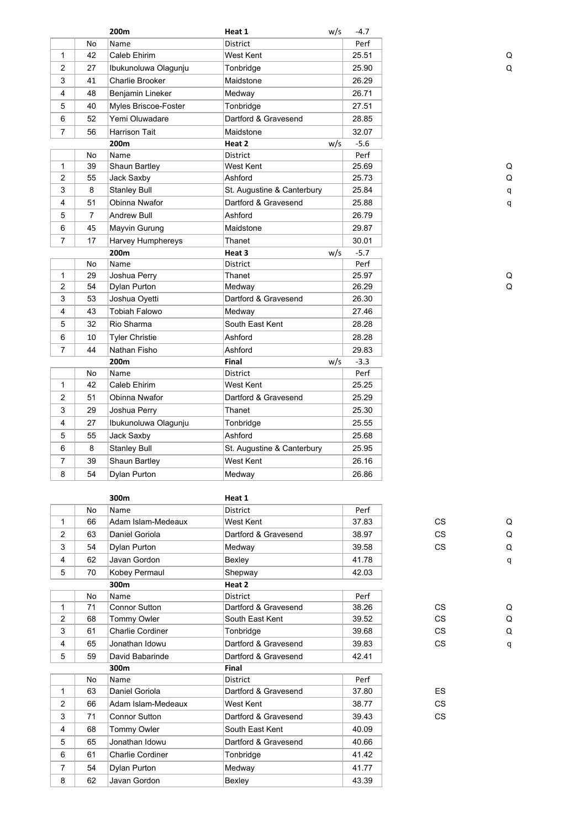|                         |                | 200m                  | Heat 1                     | w/s | -4.7   |    |   |
|-------------------------|----------------|-----------------------|----------------------------|-----|--------|----|---|
|                         | No             | Name                  | District                   |     | Perf   |    |   |
| $\mathbf{1}$            | 42             | Caleb Ehirim          | West Kent                  |     | 25.51  |    | C |
| $\overline{2}$          | 27             | Ibukunoluwa Olagunju  | Tonbridge                  |     | 25.90  |    | Q |
| 3                       | 41             | Charlie Brooker       | Maidstone                  |     | 26.29  |    |   |
| 4                       | 48             | Benjamin Lineker      | Medway                     |     | 26.71  |    |   |
| 5                       | 40             | Myles Briscoe-Foster  | Tonbridge                  |     | 27.51  |    |   |
| 6                       | 52             | Yemi Oluwadare        | Dartford & Gravesend       |     | 28.85  |    |   |
| $\overline{7}$          | 56             | <b>Harrison Tait</b>  | Maidstone                  |     | 32.07  |    |   |
|                         |                | 200m                  | Heat 2                     | w/s | $-5.6$ |    |   |
|                         | No             | Name                  | <b>District</b>            |     | Perf   |    |   |
| $\mathbf{1}$            | 39             | Shaun Bartley         | West Kent                  |     | 25.69  |    | C |
| $\overline{c}$          | 55             | Jack Saxby            | Ashford                    |     | 25.73  |    | C |
| 3                       | 8              | <b>Stanley Bull</b>   | St. Augustine & Canterbury |     | 25.84  |    | q |
| 4                       | 51             | Obinna Nwafor         | Dartford & Gravesend       |     | 25.88  |    | q |
| 5                       | $\overline{7}$ | <b>Andrew Bull</b>    | Ashford                    |     | 26.79  |    |   |
| 6                       | 45             | Mayvin Gurung         | Maidstone                  |     | 29.87  |    |   |
| $\overline{7}$          | 17             | Harvey Humphereys     | Thanet                     |     | 30.01  |    |   |
|                         |                | 200m                  | Heat 3                     | w/s | $-5.7$ |    |   |
|                         | No             | Name                  | District                   |     | Perf   |    |   |
| 1                       | 29             | Joshua Perry          | Thanet                     |     | 25.97  |    |   |
| $\overline{2}$          | 54             | Dylan Purton          | Medway                     |     | 26.29  |    | C |
| 3                       | 53             | Joshua Oyetti         | Dartford & Gravesend       |     | 26.30  |    |   |
| 4                       | 43             | <b>Tobiah Falowo</b>  | Medway                     |     | 27.46  |    |   |
| 5                       | 32             | Rio Sharma            | South East Kent            |     | 28.28  |    |   |
| 6                       | 10             | <b>Tyler Christie</b> | Ashford                    |     | 28.28  |    |   |
| $\overline{7}$          | 44             | Nathan Fisho          | Ashford                    |     | 29.83  |    |   |
|                         |                | 200m                  | Final                      | w/s | $-3.3$ |    |   |
|                         | No             | Name                  | <b>District</b>            |     | Perf   |    |   |
| $\mathbf{1}$            | 42             | Caleb Ehirim          | West Kent                  |     | 25.25  |    |   |
| $\overline{2}$          | 51             | Obinna Nwafor         | Dartford & Gravesend       |     | 25.29  |    |   |
| 3                       | 29             | Joshua Perry          | Thanet                     |     | 25.30  |    |   |
| 4                       | 27             | Ibukunoluwa Olagunju  | Tonbridge                  |     | 25.55  |    |   |
| 5                       | 55             | Jack Saxby            | Ashford                    |     | 25.68  |    |   |
| 6                       | 8              | <b>Stanley Bull</b>   | St. Augustine & Canterbury |     | 25.95  |    |   |
| $\overline{7}$          | 39             | Shaun Bartley         | West Kent                  |     | 26.16  |    |   |
| 8                       | 54             | Dylan Purton          | Medway                     |     | 26.86  |    |   |
|                         |                |                       |                            |     |        |    |   |
|                         |                | 300m                  | Heat 1                     |     |        |    |   |
|                         | No             | Name                  | District                   |     | Perf   |    |   |
| 1                       | 66             | Adam Islam-Medeaux    | West Kent                  |     | 37.83  | CS | C |
| $\overline{\mathbf{c}}$ | 63             | Daniel Goriola        | Dartford & Gravesend       |     | 38.97  | CS | C |
| 3                       | 54             | Dylan Purton          | Medway                     |     | 39.58  | CS | Q |
| 4                       | 62             | Javan Gordon          | Bexley                     |     | 41.78  |    | q |
| 5                       | 70             | Kobey Permaul         | Shepway                    |     | 42.03  |    |   |

**300m Heat 2**

**300m Final**

No Name District **Perf** 

5 59 David Babarinde Dartford & Gravesend 42.41

4 68 Tommy Owler South East Kent 40.09 5 65 Jonathan Idowu Dartford & Gravesend 40.66 6 61 Charlie Cordiner Tonbridge 141.42 7 54 Dylan Purton Medway 11.77 8 62 Javan Gordon Bexley 13.39

No Name District Perf

1 71 Connor Sutton Dartford & Gravesend 38.26 CS Q 2 68 Tommy Owler South East Kent 39.52 CS Q 3 61 Charlie Cordiner Tonbridge 39.68 CS Q

3 71 Connor Sutton Dartford & Gravesend 39.43 CS

1 63 Daniel Goriola **Dartford & Gravesend** 37.80 **ES** 2 66 Adam Islam-Medeaux West Kent 38.77 CS

4 65 Jonathan Idowu Dartford & Gravesend 39.83 CS q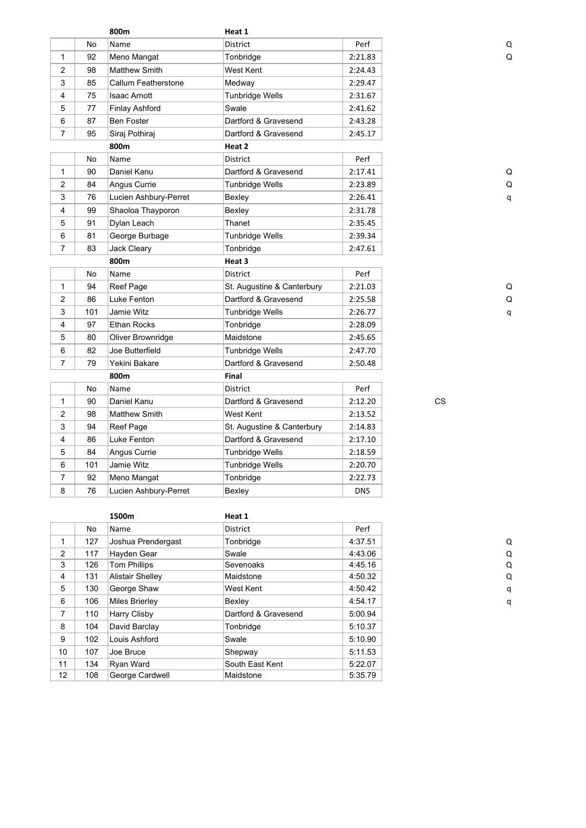|                |     | 800m                  | Heat 1                     |            |           |
|----------------|-----|-----------------------|----------------------------|------------|-----------|
|                | No  | Name                  | <b>District</b>            | Perf       | a         |
| 1              | 92  | Meno Mangat           | Tonbridge                  | 2:21.83    | C         |
| $\overline{2}$ | 98  | <b>Matthew Smith</b>  | West Kent                  | 2:24.43    |           |
| 3              | 85  | Callum Featherstone   | Medway                     | 2:29.47    |           |
| 4              | 75  | Isaac Arnott          | <b>Tunbridge Wells</b>     | 2:31.67    |           |
| 5              | 77  | <b>Finlay Ashford</b> | Swale                      | 2:41.62    |           |
| 6              | 87  | Ben Foster            | Dartford & Gravesend       | 2:43.28    |           |
| $\overline{7}$ | 95  | Siraj Pothiraj        | Dartford & Gravesend       | 2:45.17    |           |
|                |     | 800m                  | Heat 2                     |            |           |
|                | No  | Name                  | <b>District</b>            | Perf       |           |
| 1              | 90  | Daniel Kanu           | Dartford & Gravesend       | 2:17.41    | C         |
| $\overline{2}$ | 84  | Angus Currie          | <b>Tunbridge Wells</b>     | 2:23.89    | C         |
| 3              | 76  | Lucien Ashbury-Perret | Bexley                     | 2:26.41    | q         |
| 4              | 99  | Shaoloa Thayporon     | Bexley                     | 2:31.78    |           |
| 5              | 91  | Dylan Leach           | Thanet                     | 2:35.45    |           |
| 6              | 81  | George Burbage        | Tunbridge Wells            | 2:39.34    |           |
| $\overline{7}$ | 83  | Jack Cleary           | Tonbridge                  | 2:47.61    |           |
|                |     | 800m                  | Heat 3                     |            |           |
|                | No  | Name                  | District                   | Perf       |           |
| 1              | 94  | Reef Page             | St. Augustine & Canterbury | 2:21.03    | C         |
| $\overline{2}$ | 86  | Luke Fenton           | Dartford & Gravesend       | 2:25.58    | C         |
| 3              | 101 | Jamie Witz            | <b>Tunbridge Wells</b>     | 2:26.77    | q         |
| 4              | 97  | Ethan Rocks           | Tonbridge                  | 2:28.09    |           |
| 5              | 80  | Oliver Brownridge     | Maidstone                  | 2:45.65    |           |
| 6              | 82  | Joe Butterfield       | <b>Tunbridge Wells</b>     | 2:47.70    |           |
| $\overline{7}$ | 79  | Yekini Bakare         | Dartford & Gravesend       | 2:50.48    |           |
|                |     | 800m                  | Final                      |            |           |
|                | No  | Name                  | <b>District</b>            | Perf       |           |
| 1              | 90  | Daniel Kanu           | Dartford & Gravesend       | 2:12.20    | <b>CS</b> |
| $\overline{2}$ | 98  | Matthew Smith         | West Kent                  | 2:13.52    |           |
| 3              | 94  | Reef Page             | St. Augustine & Canterbury | 2:14.83    |           |
| 4              | 86  | Luke Fenton           | Dartford & Gravesend       | 2:17.10    |           |
| 5              | 84  | Angus Currie          | <b>Tunbridge Wells</b>     | 2:18.59    |           |
| 6              | 101 | Jamie Witz            | <b>Tunbridge Wells</b>     | 2:20.70    |           |
| $\overline{7}$ | 92  | Meno Mangat           | Tonbridge                  | 2:22.73    |           |
| 8              | 76  | Lucien Ashbury-Perret | Bexley                     | <b>DNS</b> |           |

|                |     | 1500m                   | Heat 1               |         |  |
|----------------|-----|-------------------------|----------------------|---------|--|
|                | No  | Name                    | District             | Perf    |  |
| 1              | 127 | Joshua Prendergast      | Tonbridge            | 4:37.51 |  |
| $\overline{2}$ | 117 | Hayden Gear             | Swale                | 4:43.06 |  |
| 3              | 126 | <b>Tom Phillips</b>     | Sevenoaks            | 4:45.16 |  |
| 4              | 131 | <b>Alistair Shelley</b> | Maidstone            | 4:50.32 |  |
| 5              | 130 | George Shaw             | West Kent            | 4:50.42 |  |
| 6              | 106 | Miles Brierley          | Bexley               | 4:54.17 |  |
| 7              | 110 | Harry Clisby            | Dartford & Gravesend | 5:00.94 |  |
| 8              | 104 | David Barclay           | Tonbridge            | 5:10.37 |  |
| 9              | 102 | Louis Ashford           | Swale                | 5:10.90 |  |
| 10             | 107 | Joe Bruce               | Shepway              | 5:11.53 |  |
| 11             | 134 | Ryan Ward               | South East Kent      | 5:22.07 |  |
| 12             | 108 | George Cardwell         | Maidstone            | 5:35.79 |  |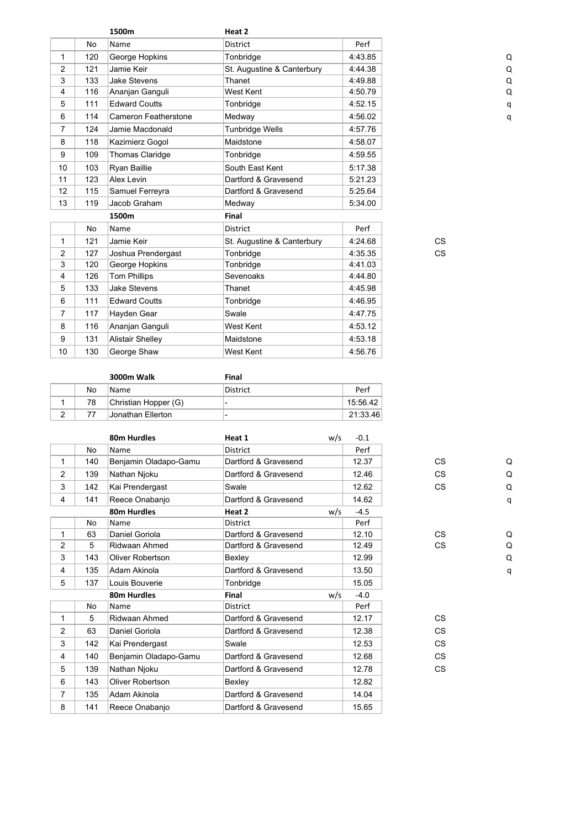|                |           | 1500m                       | Heat 2                     |         |           |  |
|----------------|-----------|-----------------------------|----------------------------|---------|-----------|--|
|                | <b>No</b> | Name                        | <b>District</b>            | Perf    |           |  |
| $\mathbf{1}$   | 120       | George Hopkins              | Tonbridge                  | 4:43.85 |           |  |
| $\overline{2}$ | 121       | Jamie Keir                  | St. Augustine & Canterbury | 4:44.38 |           |  |
| 3              | 133       | <b>Jake Stevens</b>         | Thanet                     | 4:49.88 |           |  |
| 4              | 116       | Ananjan Ganguli             | West Kent                  | 4:50.79 |           |  |
| 5              | 111       | <b>Edward Coutts</b>        | Tonbridge                  | 4:52.15 |           |  |
| 6              | 114       | <b>Cameron Featherstone</b> | Medway                     | 4:56.02 |           |  |
| $\overline{7}$ | 124       | Jamie Macdonald             | <b>Tunbridge Wells</b>     | 4:57.76 |           |  |
| 8              | 118       | Kazimierz Gogol             | Maidstone                  | 4:58.07 |           |  |
| 9              | 109       | Thomas Claridge             | Tonbridge                  | 4:59.55 |           |  |
| 10             | 103       | Ryan Baillie                | South East Kent            | 5:17.38 |           |  |
| 11             | 123       | Alex Levin                  | Dartford & Gravesend       | 5:21.23 |           |  |
| 12             | 115       | Samuel Ferreyra             | Dartford & Gravesend       | 5:25.64 |           |  |
| 13             | 119       | Jacob Graham                | Medway                     | 5:34.00 |           |  |
|                |           | 1500m                       | Final                      |         |           |  |
|                | <b>No</b> | Name                        | <b>District</b>            | Perf    |           |  |
| 1              | 121       | Jamie Keir                  | St. Augustine & Canterbury | 4:24.68 | <b>CS</b> |  |
| $\overline{2}$ | 127       | Joshua Prendergast          | Tonbridge                  | 4:35.35 | <b>CS</b> |  |
| 3              | 120       | George Hopkins              | Tonbridge                  | 4:41.03 |           |  |
| 4              | 126       | <b>Tom Phillips</b>         | Sevenoaks                  | 4:44.80 |           |  |
| 5              | 133       | <b>Jake Stevens</b>         | Thanet                     | 4:45.98 |           |  |
| 6              | 111       | <b>Edward Coutts</b>        | Tonbridge                  | 4:46.95 |           |  |
| $\overline{7}$ | 117       | Hayden Gear                 | Swale                      | 4:47.75 |           |  |
| 8              | 116       | Ananjan Ganguli             | West Kent                  | 4:53.12 |           |  |
| 9              | 131       | <b>Alistair Shelley</b>     | Maidstone                  | 4:53.18 |           |  |
| 10             | 130       | George Shaw                 | West Kent                  | 4:56.76 |           |  |
|                |           |                             |                            |         |           |  |

|    | 3000m Walk           | Final                    |          |
|----|----------------------|--------------------------|----------|
| No | Name                 | District                 | Perf     |
| 78 | Christian Hopper (G) | $\overline{\phantom{0}}$ | 15:56.42 |
| 77 | Jonathan Ellerton    | -                        | 21:33.46 |

|                |           | 80m Hurdles             | Heat 1               | w/s | $-0.1$ |           |   |
|----------------|-----------|-------------------------|----------------------|-----|--------|-----------|---|
|                | <b>No</b> | Name                    | <b>District</b>      |     | Perf   |           |   |
| $\mathbf{1}$   | 140       | Benjamin Oladapo-Gamu   | Dartford & Gravesend |     | 12.37  | <b>CS</b> | C |
| 2              | 139       | Nathan Njoku            | Dartford & Gravesend |     | 12.46  | CS.       | C |
| 3              | 142       | Kai Prendergast         | Swale                |     | 12.62  | <b>CS</b> | Q |
| 4              | 141       | Reece Onabanjo          | Dartford & Gravesend |     | 14.62  |           | q |
|                |           | 80m Hurdles             | Heat 2               | w/s | $-4.5$ |           |   |
|                | No        | Name                    | <b>District</b>      |     | Perf   |           |   |
| $\mathbf{1}$   | 63        | Daniel Goriola          | Dartford & Gravesend |     | 12.10  | CS.       | C |
| $\overline{2}$ | 5         | Ridwaan Ahmed           | Dartford & Gravesend |     | 12.49  | <b>CS</b> | C |
| 3              | 143       | <b>Oliver Robertson</b> | Bexley               |     | 12.99  |           | Q |
| 4              | 135       | Adam Akinola            | Dartford & Gravesend |     | 13.50  |           | q |
| 5              | 137       | Louis Bouverie          | Tonbridge            |     | 15.05  |           |   |
|                |           | 80m Hurdles             | Final                | w/s | $-4.0$ |           |   |
|                | No        | Name                    | <b>District</b>      |     | Perf   |           |   |
| $\mathbf{1}$   | 5         | Ridwaan Ahmed           | Dartford & Gravesend |     | 12.17  | <b>CS</b> |   |
| 2              | 63        | Daniel Goriola          | Dartford & Gravesend |     | 12.38  | <b>CS</b> |   |
| 3              | 142       | Kai Prendergast         | Swale                |     | 12.53  | <b>CS</b> |   |
| 4              | 140       | Benjamin Oladapo-Gamu   | Dartford & Gravesend |     | 12.68  | <b>CS</b> |   |
| 5              | 139       | Nathan Njoku            | Dartford & Gravesend |     | 12.78  | <b>CS</b> |   |
| 6              | 143       | <b>Oliver Robertson</b> | Bexley               |     | 12.82  |           |   |
| 7              | 135       | Adam Akinola            | Dartford & Gravesend |     | 14.04  |           |   |
| 8              | 141       | Reece Onabanjo          | Dartford & Gravesend |     | 15.65  |           |   |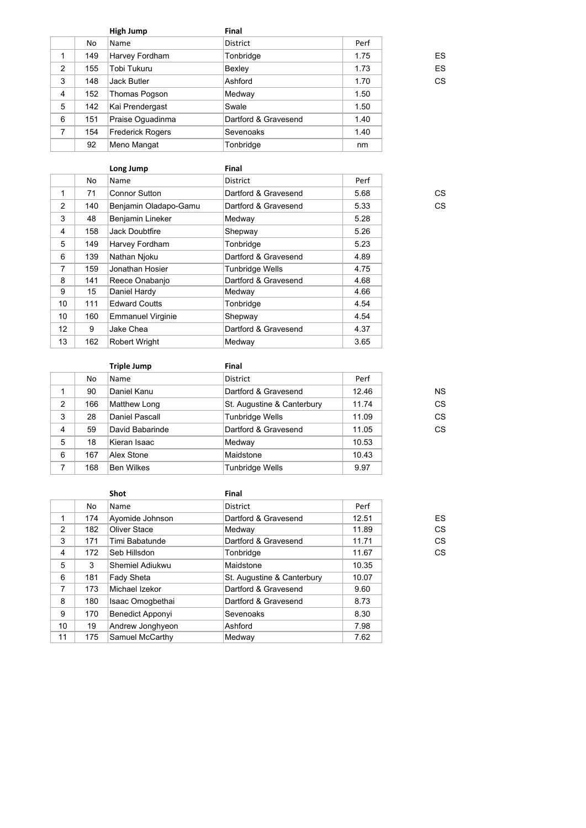|                |     | High Jump               | Final                |      |    |
|----------------|-----|-------------------------|----------------------|------|----|
|                | No  | Name                    | District             | Perf |    |
| 1              | 149 | Harvey Fordham          | Tonbridge            | 1.75 | ES |
| 2              | 155 | Tobi Tukuru             | Bexley               | 1.73 | ES |
| 3              | 148 | <b>Jack Butler</b>      | Ashford              | 1.70 | CS |
| $\overline{4}$ | 152 | Thomas Pogson           | Medway               | 1.50 |    |
| 5              | 142 | Kai Prendergast         | Swale                | 1.50 |    |
| 6              | 151 | Praise Oquadinma        | Dartford & Gravesend | 1.40 |    |
| 7              | 154 | <b>Frederick Rogers</b> | Sevenoaks            | 1.40 |    |
|                | 92  | Meno Mangat             | Tonbridge            | nm   |    |

| טש.ו |
|------|
| 1.50 |
| 1.40 |
| 1.40 |
| nm   |

|                |     | Long Jump                | Final                  |      |    |
|----------------|-----|--------------------------|------------------------|------|----|
|                | No  | Name                     | <b>District</b>        | Perf |    |
| 1              | 71  | <b>Connor Sutton</b>     | Dartford & Gravesend   | 5.68 | CS |
| 2              | 140 | Benjamin Oladapo-Gamu    | Dartford & Gravesend   | 5.33 | CS |
| 3              | 48  | Benjamin Lineker         | Medway                 | 5.28 |    |
| 4              | 158 | Jack Doubtfire           | Shepway                | 5.26 |    |
| 5              | 149 | Harvey Fordham           | Tonbridge              | 5.23 |    |
| 6              | 139 | Nathan Njoku             | Dartford & Gravesend   | 4.89 |    |
| $\overline{7}$ | 159 | Jonathan Hosier          | <b>Tunbridge Wells</b> | 4.75 |    |
| 8              | 141 | Reece Onabanjo           | Dartford & Gravesend   | 4.68 |    |
| 9              | 15  | Daniel Hardy             | Medway                 | 4.66 |    |
| 10             | 111 | <b>Edward Coutts</b>     | Tonbridge              | 4.54 |    |
| 10             | 160 | <b>Emmanuel Virginie</b> | Shepway                | 4.54 |    |
| 12             | 9   | Jake Chea                | Dartford & Gravesend   | 4.37 |    |
| 13             | 162 | <b>Robert Wright</b>     | Medway                 | 3.65 |    |
|                |     |                          |                        |      |    |

|                |     | <b>Triple Jump</b> | Final                      |       |           |
|----------------|-----|--------------------|----------------------------|-------|-----------|
|                | No. | Name               | <b>District</b>            | Perf  |           |
|                | 90  | Daniel Kanu        | Dartford & Gravesend       | 12.46 | <b>NS</b> |
| 2              | 166 | Matthew Long       | St. Augustine & Canterbury | 11.74 | CS        |
| 3              | 28  | Daniel Pascall     | <b>Tunbridge Wells</b>     | 11.09 | CS        |
| $\overline{4}$ | 59  | David Babarinde    | Dartford & Gravesend       | 11.05 | CS        |
| 5              | 18  | Kieran Isaac       | Medway                     | 10.53 |           |
| 6              | 167 | Alex Stone         | Maidstone                  | 10.43 |           |
| 7              | 168 | <b>Ben Wilkes</b>  | <b>Tunbridge Wells</b>     | 9.97  |           |
|                |     |                    |                            |       |           |

|                |     | <b>Shot</b>             | Final                      |       |    |
|----------------|-----|-------------------------|----------------------------|-------|----|
|                | No  | Name                    | <b>District</b>            | Perf  |    |
| 1              | 174 | Ayomide Johnson         | Dartford & Gravesend       | 12.51 | ES |
| 2              | 182 | Oliver Stace            | Medway                     | 11.89 | CS |
| 3              | 171 | Timi Babatunde          | Dartford & Gravesend       | 11.71 | CS |
| 4              | 172 | Seb Hillsdon            | Tonbridge                  | 11.67 | CS |
| 5              | 3   | Shemiel Adiukwu         | Maidstone                  | 10.35 |    |
| 6              | 181 | <b>Fady Sheta</b>       | St. Augustine & Canterbury | 10.07 |    |
| $\overline{7}$ | 173 | Michael Izekor          | Dartford & Gravesend       | 9.60  |    |
| 8              | 180 | Isaac Omogbethai        | Dartford & Gravesend       | 8.73  |    |
| 9              | 170 | <b>Benedict Apponyi</b> | Sevenoaks                  | 8.30  |    |
| 10             | 19  | Andrew Jonghyeon        | Ashford                    | 7.98  |    |
| 11             | 175 | Samuel McCarthy         | Medway                     | 7.62  |    |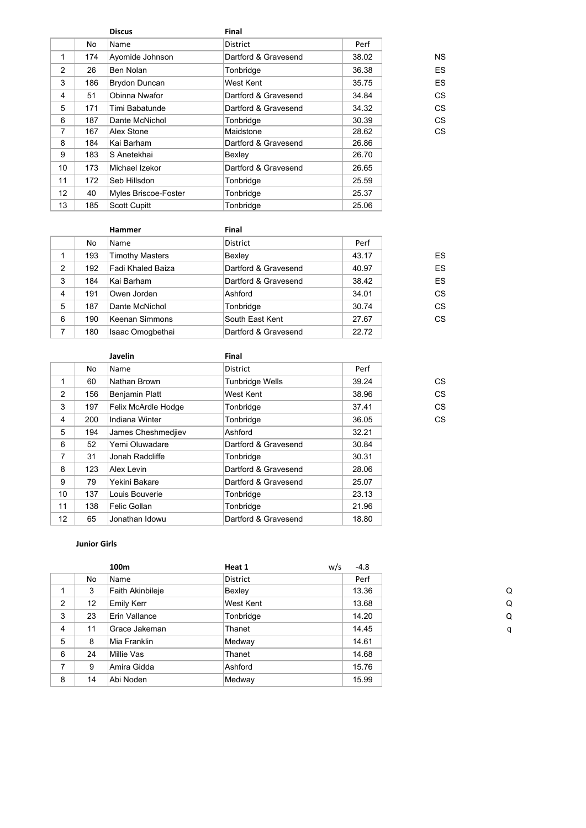|                 |     | <b>Discus</b>        | Final                |       |           |
|-----------------|-----|----------------------|----------------------|-------|-----------|
|                 | No  | Name                 | <b>District</b>      | Perf  |           |
| 1               | 174 | Ayomide Johnson      | Dartford & Gravesend | 38.02 | <b>NS</b> |
| $\overline{2}$  | 26  | Ben Nolan            | Tonbridge            | 36.38 | ES        |
| 3               | 186 | <b>Brydon Duncan</b> | West Kent            | 35.75 | ES        |
| 4               | 51  | Obinna Nwafor        | Dartford & Gravesend | 34.84 | CS        |
| 5               | 171 | Timi Babatunde       | Dartford & Gravesend | 34.32 | CS        |
| 6               | 187 | Dante McNichol       | Tonbridge            | 30.39 | CS        |
| 7               | 167 | Alex Stone           | Maidstone            | 28.62 | CS        |
| 8               | 184 | Kai Barham           | Dartford & Gravesend | 26.86 |           |
| 9               | 183 | S Anetekhai          | Bexley               | 26.70 |           |
| 10              | 173 | Michael Izekor       | Dartford & Gravesend | 26.65 |           |
| 11              | 172 | Seb Hillsdon         | Tonbridge            | 25.59 |           |
| 12 <sup>2</sup> | 40  | Myles Briscoe-Foster | Tonbridge            | 25.37 |           |
| 13              | 185 | <b>Scott Cupitt</b>  | Tonbridge            | 25.06 |           |

|   |     | <b>Hammer</b>          | Final                |       |    |
|---|-----|------------------------|----------------------|-------|----|
|   | No. | Name                   | <b>District</b>      | Perf  |    |
|   | 193 | <b>Timothy Masters</b> | Bexley               | 43.17 | ES |
| 2 | 192 | Fadi Khaled Baiza      | Dartford & Gravesend | 40.97 | ES |
| 3 | 184 | Kai Barham             | Dartford & Gravesend | 38.42 | ES |
| 4 | 191 | Owen Jorden            | Ashford              | 34.01 | CS |
| 5 | 187 | Dante McNichol         | Tonbridge            | 30.74 | CS |
| 6 | 190 | Keenan Simmons         | South East Kent      | 27.67 | CS |
| 7 | 180 | Isaac Omogbethai       | Dartford & Gravesend | 22.72 |    |

|     | Javelin               | Final                |       |    |
|-----|-----------------------|----------------------|-------|----|
| No  | Name                  | <b>District</b>      | Perf  |    |
| 60  | Nathan Brown          | Tunbridge Wells      | 39.24 | CS |
| 156 | <b>Benjamin Platt</b> | West Kent            | 38.96 | CS |
| 197 | Felix McArdle Hodge   | Tonbridge            | 37.41 | CS |
| 200 | Indiana Winter        | Tonbridge            | 36.05 | CS |
| 194 | James Cheshmedjiev    | Ashford              | 32.21 |    |
| 52  | Yemi Oluwadare        | Dartford & Gravesend | 30.84 |    |
| 31  | Jonah Radcliffe       | Tonbridge            | 30.31 |    |
| 123 | Alex Levin            | Dartford & Gravesend | 28.06 |    |
| 79  | Yekini Bakare         | Dartford & Gravesend | 25.07 |    |
| 137 | Louis Bouverie        | Tonbridge            | 23.13 |    |
| 138 | Felic Gollan          | Tonbridge            | 21.96 |    |
| 65  | Jonathan Idowu        | Dartford & Gravesend | 18.80 |    |
|     |                       |                      |       |    |

### **Junior Girls**

|                |    | 100m              | Heat 1          | w/s<br>$-4.8$ |
|----------------|----|-------------------|-----------------|---------------|
|                | No | Name              | <b>District</b> | Perf          |
|                | 3  | Faith Akinbileje  | Bexley          | 13.36         |
| $\overline{2}$ | 12 | <b>Emily Kerr</b> | West Kent       | 13.68         |
| 3              | 23 | Erin Vallance     | Tonbridge       | 14.20         |
| 4              | 11 | Grace Jakeman     | Thanet          | 14.45         |
| 5              | 8  | Mia Franklin      | Medway          | 14.61         |
| 6              | 24 | Millie Vas        | Thanet          | 14.68         |
| 7              | 9  | Amira Gidda       | Ashford         | 15.76         |
| 8              | 14 | Abi Noden         | Medway          | 15.99         |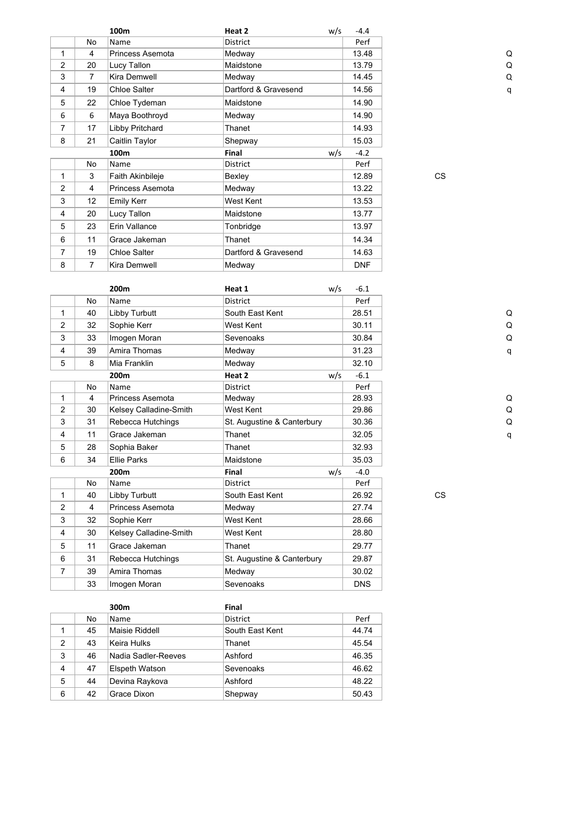|                |                | 100m                | Heat 2               | w/s | $-4.4$     |           |
|----------------|----------------|---------------------|----------------------|-----|------------|-----------|
|                | No             | Name                | District             |     | Perf       |           |
| 1              | 4              | Princess Asemota    | Medway               |     | 13.48      |           |
| $\overline{2}$ | 20             | Lucy Tallon         | Maidstone            |     | 13.79      |           |
| 3              | $\overline{7}$ | Kira Demwell        | Medway               |     | 14.45      |           |
| 4              | 19             | Chloe Salter        | Dartford & Gravesend |     | 14.56      |           |
| 5              | 22             | Chloe Tydeman       | Maidstone            |     | 14.90      |           |
| 6              | 6              | Maya Boothroyd      | Medway               |     | 14.90      |           |
| 7              | 17             | Libby Pritchard     | Thanet               |     | 14.93      |           |
| 8              | 21             | Caitlin Taylor      | Shepway              |     | 15.03      |           |
|                |                | 100m                | Final                | w/s | $-4.2$     |           |
|                | No             | Name                | District             |     | Perf       |           |
| 1              | 3              | Faith Akinbileje    | Bexley               |     | 12.89      | <b>CS</b> |
| $\overline{2}$ | 4              | Princess Asemota    | Medway               |     | 13.22      |           |
| 3              | 12             | <b>Emily Kerr</b>   | West Kent            |     | 13.53      |           |
| 4              | 20             | Lucy Tallon         | Maidstone            |     | 13.77      |           |
| 5              | 23             | Erin Vallance       | Tonbridge            |     | 13.97      |           |
| 6              | 11             | Grace Jakeman       | Thanet               |     | 14.34      |           |
| 7              | 19             | Chloe Salter        | Dartford & Gravesend |     | 14.63      |           |
| 8              | $\overline{7}$ | <b>Kira Demwell</b> | Medway               |     | <b>DNF</b> |           |

|                |                | 200 <sub>m</sub>       | Heat 1                     | w/s | $-6.1$     |           |   |
|----------------|----------------|------------------------|----------------------------|-----|------------|-----------|---|
|                | No             | Name                   | <b>District</b>            |     | Perf       |           |   |
| 1              | 40             | Libby Turbutt          | South East Kent            |     | 28.51      |           | C |
| 2              | 32             | Sophie Kerr            | West Kent                  |     | 30.11      |           | C |
| 3              | 33             | Imogen Moran           | Sevenoaks                  |     | 30.84      |           | C |
| 4              | 39             | Amira Thomas           | Medway                     |     | 31.23      |           | q |
| 5              | 8              | Mia Franklin           | Medway                     |     | 32.10      |           |   |
|                |                | 200 <sub>m</sub>       | Heat 2                     | w/s | $-6.1$     |           |   |
|                | No             | Name                   | <b>District</b>            |     | Perf       |           |   |
| 1              | 4              | Princess Asemota       | Medway                     |     | 28.93      |           | C |
| $\overline{2}$ | 30             | Kelsey Calladine-Smith | West Kent                  |     | 29.86      |           | C |
| 3              | 31             | Rebecca Hutchings      | St. Augustine & Canterbury |     | 30.36      |           | C |
| 4              | 11             | Grace Jakeman          | Thanet                     |     | 32.05      |           | q |
| 5              | 28             | Sophia Baker           | Thanet                     |     | 32.93      |           |   |
| 6              | 34             | <b>Ellie Parks</b>     | Maidstone                  |     | 35.03      |           |   |
|                |                | 200 <sub>m</sub>       | Final                      | w/s | $-4.0$     |           |   |
|                | <b>No</b>      | Name                   | <b>District</b>            |     | Perf       |           |   |
| 1              | 40             | Libby Turbutt          | South East Kent            |     | 26.92      | <b>CS</b> |   |
| 2              | $\overline{4}$ | Princess Asemota       | Medway                     |     | 27.74      |           |   |
| 3              | 32             | Sophie Kerr            | West Kent                  |     | 28.66      |           |   |
| 4              | 30             | Kelsey Calladine-Smith | West Kent                  |     | 28.80      |           |   |
| 5              | 11             | Grace Jakeman          | Thanet                     |     | 29.77      |           |   |
| 6              | 31             | Rebecca Hutchings      | St. Augustine & Canterbury |     | 29.87      |           |   |
| $\overline{7}$ | 39             | Amira Thomas           | Medway                     |     | 30.02      |           |   |
|                | 33             | Imogen Moran           | Sevenoaks                  |     | <b>DNS</b> |           |   |

|                |    | 300m                | Final           |       |
|----------------|----|---------------------|-----------------|-------|
|                | No | <b>Name</b>         | <b>District</b> | Perf  |
|                | 45 | Maisie Riddell      | South East Kent | 44.74 |
| $\mathfrak{p}$ | 43 | Keira Hulks         | Thanet          | 45.54 |
| 3              | 46 | Nadia Sadler-Reeves | Ashford         | 46.35 |
| 4              | 47 | Elspeth Watson      | Sevenoaks       | 46.62 |
| 5              | 44 | Devina Raykova      | Ashford         | 48.22 |
| 6              | 42 | Grace Dixon         | Shepway         | 50.43 |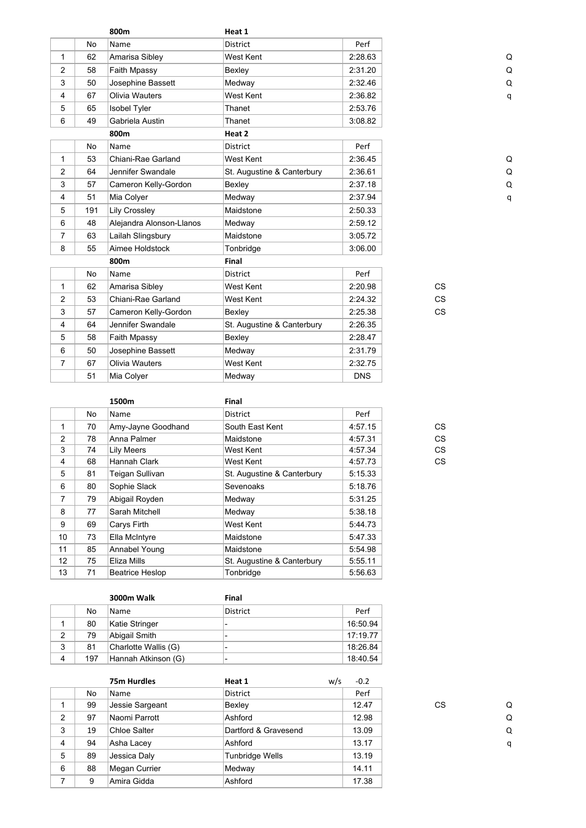|                |           | 800m                     | Heat 1                     |            |           |   |
|----------------|-----------|--------------------------|----------------------------|------------|-----------|---|
|                | <b>No</b> | Name                     | <b>District</b>            | Perf       |           |   |
| $\mathbf{1}$   | 62        | Amarisa Sibley           | West Kent                  | 2:28.63    |           | C |
| $\overline{2}$ | 58        | Faith Mpassy             | Bexley                     | 2:31.20    |           | C |
| 3              | 50        | Josephine Bassett        | Medway                     | 2:32.46    |           | Q |
| 4              | 67        | Olivia Wauters           | West Kent                  | 2:36.82    |           | q |
| 5              | 65        | <b>Isobel Tyler</b>      | Thanet                     | 2:53.76    |           |   |
| 6              | 49        | Gabriela Austin          | Thanet                     | 3:08.82    |           |   |
|                |           | 800m                     | Heat 2                     |            |           |   |
|                | No        | Name                     | <b>District</b>            | Perf       |           |   |
| $\mathbf{1}$   | 53        | Chiani-Rae Garland       | West Kent                  | 2:36.45    |           | C |
| $\overline{2}$ | 64        | Jennifer Swandale        | St. Augustine & Canterbury | 2:36.61    |           | C |
| 3              | 57        | Cameron Kelly-Gordon     | Bexley                     | 2:37.18    |           | Q |
| 4              | 51        | Mia Colyer               | Medway                     | 2:37.94    |           | q |
| 5              | 191       | <b>Lily Crossley</b>     | Maidstone                  | 2:50.33    |           |   |
| 6              | 48        | Alejandra Alonson-Llanos | Medway                     | 2:59.12    |           |   |
| $\overline{7}$ | 63        | Lailah Slingsbury        | Maidstone                  | 3:05.72    |           |   |
| 8              | 55        | Aimee Holdstock          | Tonbridge                  | 3:06.00    |           |   |
|                |           | 800m                     | Final                      |            |           |   |
|                | <b>No</b> | Name                     | District                   | Perf       |           |   |
| $\mathbf{1}$   | 62        | Amarisa Sibley           | West Kent                  | 2:20.98    | <b>CS</b> |   |
| $\overline{2}$ | 53        | Chiani-Rae Garland       | West Kent                  | 2:24.32    | <b>CS</b> |   |
| 3              | 57        | Cameron Kelly-Gordon     | Bexley                     | 2:25.38    | <b>CS</b> |   |
| 4              | 64        | Jennifer Swandale        | St. Augustine & Canterbury | 2:26.35    |           |   |
| 5              | 58        | Faith Mpassy             | Bexley                     | 2:28.47    |           |   |
| 6              | 50        | Josephine Bassett        | Medway                     | 2:31.79    |           |   |
| $\overline{7}$ | 67        | Olivia Wauters           | West Kent                  | 2:32.75    |           |   |
|                | 51        | Mia Colyer               | Medway                     | <b>DNS</b> |           |   |
|                |           |                          |                            |            |           |   |

|                   |    | 1500m                  | Final                      |         |    |
|-------------------|----|------------------------|----------------------------|---------|----|
|                   | No | Name                   | District                   | Perf    |    |
| 1                 | 70 | Amy-Jayne Goodhand     | South East Kent            | 4:57.15 | CS |
| 2                 | 78 | Anna Palmer            | Maidstone                  | 4:57.31 | CS |
| 3                 | 74 | Lily Meers             | West Kent                  | 4:57.34 | CS |
| 4                 | 68 | Hannah Clark           | West Kent                  | 4:57.73 | CS |
| 5                 | 81 | Teigan Sullivan        | St. Augustine & Canterbury | 5:15.33 |    |
| 6                 | 80 | Sophie Slack           | Sevenoaks                  | 5:18.76 |    |
| $\overline{7}$    | 79 | Abigail Royden         | Medway                     | 5:31.25 |    |
| 8                 | 77 | Sarah Mitchell         | Medway                     | 5:38.18 |    |
| 9                 | 69 | Carys Firth            | West Kent                  | 5:44.73 |    |
| 10                | 73 | Ella McIntyre          | Maidstone                  | 5:47.33 |    |
| 11                | 85 | Annabel Young          | Maidstone                  | 5:54.98 |    |
| $12 \overline{ }$ | 75 | Eliza Mills            | St. Augustine & Canterbury | 5:55.11 |    |
| 13                | 71 | <b>Beatrice Heslop</b> | Tonbridge                  | 5:56.63 |    |

|   |     | <b>3000m Walk</b>    | Final           |          |
|---|-----|----------------------|-----------------|----------|
|   | No  | <b>Name</b>          | <b>District</b> | Perf     |
|   | 80  | Katie Stringer       |                 | 16:50.94 |
| 2 | 79  | Abigail Smith        |                 | 17:19.77 |
| 3 | 81  | Charlotte Wallis (G) |                 | 18:26.84 |
|   | 197 | Hannah Atkinson (G)  |                 | 18:40.54 |

|   |    | 75m Hurdles         | Heat 1                 | w/s | $-0.2$ |    |   |
|---|----|---------------------|------------------------|-----|--------|----|---|
|   | No | Name                | District               |     | Perf   |    |   |
|   | 99 | Jessie Sargeant     | Bexley                 |     | 12.47  | CS | C |
| 2 | 97 | Naomi Parrott       | Ashford                |     | 12.98  |    | C |
| 3 | 19 | <b>Chloe Salter</b> | Dartford & Gravesend   |     | 13.09  |    | O |
| 4 | 94 | Asha Lacey          | Ashford                |     | 13.17  |    | q |
| 5 | 89 | Jessica Daly        | <b>Tunbridge Wells</b> |     | 13.19  |    |   |
| 6 | 88 | Megan Currier       | Medway                 |     | 14.11  |    |   |
| 7 | 9  | Amira Gidda         | Ashford                |     | 17.38  |    |   |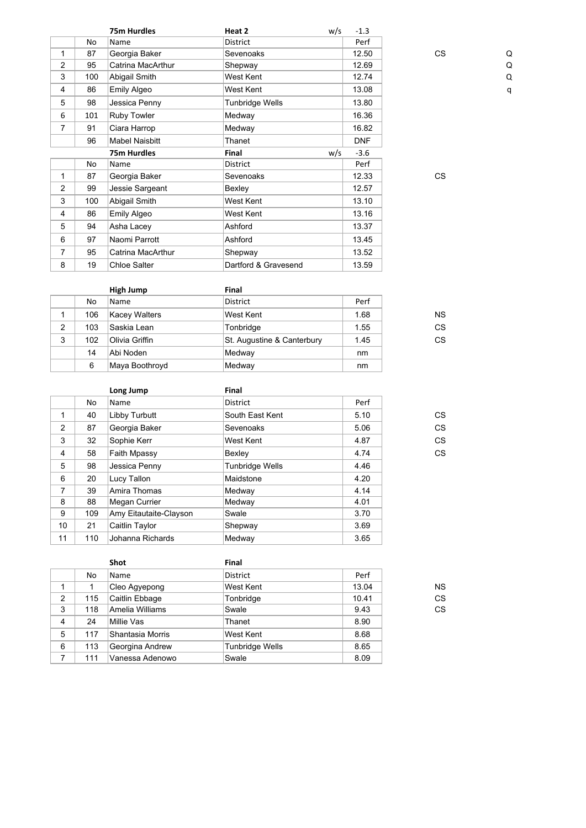|                |     | 75m Hurdles           | Heat 2               | w/s | $-1.3$     |           |   |
|----------------|-----|-----------------------|----------------------|-----|------------|-----------|---|
|                | No  | Name                  | District             |     | Perf       |           |   |
| 1              | 87  | Georgia Baker         | Sevenoaks            |     | 12.50      | <b>CS</b> | C |
| $\overline{2}$ | 95  | Catrina MacArthur     | Shepway              |     | 12.69      |           | C |
| 3              | 100 | Abigail Smith         | West Kent            |     | 12.74      |           | Q |
| $\overline{4}$ | 86  | Emily Algeo           | West Kent            |     | 13.08      |           | q |
| 5              | 98  | Jessica Penny         | Tunbridge Wells      |     | 13.80      |           |   |
| 6              | 101 | Ruby Towler           | Medway               |     | 16.36      |           |   |
| $\overline{7}$ | 91  | Ciara Harrop          | Medway               |     | 16.82      |           |   |
|                | 96  | <b>Mabel Naisbitt</b> | Thanet               |     | <b>DNF</b> |           |   |
|                |     | 75m Hurdles           | Final                | w/s | $-3.6$     |           |   |
|                | No  | Name                  | District             |     | Perf       |           |   |
| 1              | 87  | Georgia Baker         | Sevenoaks            |     | 12.33      | <b>CS</b> |   |
| $\overline{2}$ | 99  | Jessie Sargeant       | Bexley               |     | 12.57      |           |   |
| 3              | 100 | Abigail Smith         | West Kent            |     | 13.10      |           |   |
| 4              | 86  | Emily Algeo           | West Kent            |     | 13.16      |           |   |
| 5              | 94  | Asha Lacey            | Ashford              |     | 13.37      |           |   |
| 6              | 97  | Naomi Parrott         | Ashford              |     | 13.45      |           |   |
| $\overline{7}$ | 95  | Catrina MacArthur     | Shepway              |     | 13.52      |           |   |
| 8              | 19  | <b>Chloe Salter</b>   | Dartford & Gravesend |     | 13.59      |           |   |

|   |     | High Jump            | Final                      |      |           |
|---|-----|----------------------|----------------------------|------|-----------|
|   | No  | Name                 | <b>District</b>            | Perf |           |
|   | 106 | <b>Kacey Walters</b> | West Kent                  | 1.68 | <b>NS</b> |
| 2 | 103 | Saskia Lean          | Tonbridge                  | 1.55 | CS        |
| 3 | 102 | Olivia Griffin       | St. Augustine & Canterbury | 1.45 | СS        |
|   | 14  | Abi Noden            | Medway                     | nm   |           |
|   | 6   | Maya Boothroyd       | Medway                     | nm   |           |

|    |     | Long Jump              | Final                  |      |    |
|----|-----|------------------------|------------------------|------|----|
|    | No  | Name                   | <b>District</b>        | Perf |    |
| 1  | 40  | Libby Turbutt          | South East Kent        | 5.10 | CS |
| 2  | 87  | Georgia Baker          | Sevenoaks              | 5.06 | CS |
| 3  | 32  | Sophie Kerr            | West Kent              | 4.87 | CS |
| 4  | 58  | <b>Faith Mpassy</b>    | Bexley                 | 4.74 | CS |
| 5  | 98  | Jessica Penny          | <b>Tunbridge Wells</b> | 4.46 |    |
| 6  | 20  | Lucy Tallon            | Maidstone              | 4.20 |    |
| 7  | 39  | Amira Thomas           | Medway                 | 4.14 |    |
| 8  | 88  | <b>Megan Currier</b>   | Medway                 | 4.01 |    |
| 9  | 109 | Amy Eitautaite-Clayson | Swale                  | 3.70 |    |
| 10 | 21  | Caitlin Taylor         | Shepway                | 3.69 |    |
| 11 | 110 | Johanna Richards       | Medway                 | 3.65 |    |

|                |     | Shot             | Final                  |       |           |
|----------------|-----|------------------|------------------------|-------|-----------|
|                | No  | Name             | <b>District</b>        | Perf  |           |
|                |     | Cleo Agyepong    | West Kent              | 13.04 | <b>NS</b> |
| $\overline{2}$ | 115 | Caitlin Ebbage   | Tonbridge              | 10.41 | CS        |
| 3              | 118 | Amelia Williams  | Swale                  | 9.43  | CS        |
| 4              | 24  | Millie Vas       | Thanet                 | 8.90  |           |
| 5              | 117 | Shantasia Morris | West Kent              | 8.68  |           |
| 6              | 113 | Georgina Andrew  | <b>Tunbridge Wells</b> | 8.65  |           |
|                | 111 | Vanessa Adenowo  | Swale                  | 8.09  |           |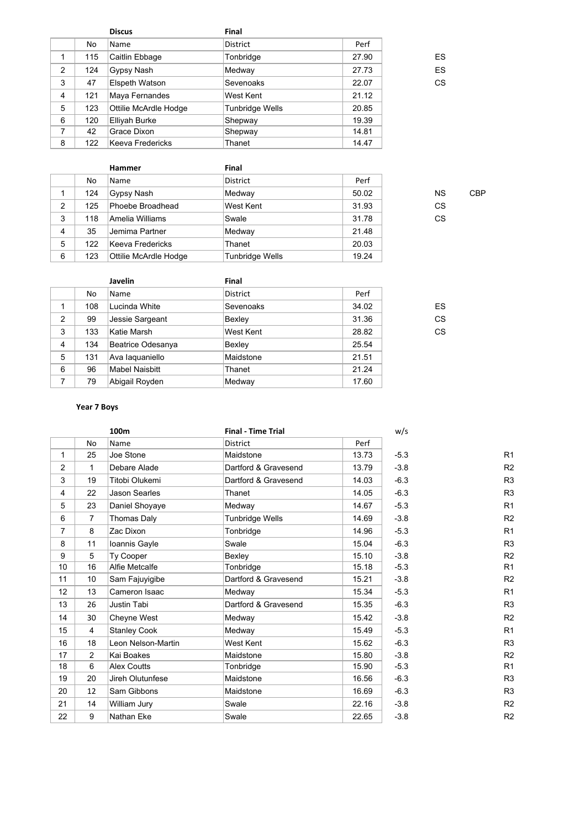|   |     | <b>Discus</b>         | Final                  |       |    |
|---|-----|-----------------------|------------------------|-------|----|
|   | No  | Name                  | District               | Perf  |    |
| 1 | 115 | Caitlin Ebbage        | Tonbridge              | 27.90 | ES |
| 2 | 124 | Gypsy Nash            | Medway                 | 27.73 | ES |
| 3 | 47  | Elspeth Watson        | Sevenoaks              | 22.07 | CS |
| 4 | 121 | Maya Fernandes        | West Kent              | 21.12 |    |
| 5 | 123 | Ottilie McArdle Hodge | <b>Tunbridge Wells</b> | 20.85 |    |
| 6 | 120 | Elliyah Burke         | Shepway                | 19.39 |    |
| 7 | 42  | Grace Dixon           | Shepway                | 14.81 |    |
| 8 | 122 | Keeva Fredericks      | Thanet                 | 14.47 |    |

|   |     | Hammer                | Final                  |       |           |            |
|---|-----|-----------------------|------------------------|-------|-----------|------------|
|   | No  | Name                  | <b>District</b>        | Perf  |           |            |
|   | 124 | Gypsy Nash            | Medway                 | 50.02 | <b>NS</b> | <b>CBP</b> |
| 2 | 125 | Phoebe Broadhead      | <b>West Kent</b>       | 31.93 | CS.       |            |
| 3 | 118 | ∣Amelia Williams      | Swale                  | 31.78 | CS.       |            |
| 4 | 35  | Jemima Partner        | Medway                 | 21.48 |           |            |
| 5 | 122 | Keeva Fredericks      | Thanet                 | 20.03 |           |            |
| 6 | 123 | Ottilie McArdle Hodge | <b>Tunbridge Wells</b> | 19.24 |           |            |

|                |     | <b>Javelin</b>        | Final           |       |    |
|----------------|-----|-----------------------|-----------------|-------|----|
|                | No  | Name                  | <b>District</b> | Perf  |    |
|                | 108 | Lucinda White         | Sevenoaks       | 34.02 | ES |
| $\overline{2}$ | 99  | Jessie Sargeant       | Bexley          | 31.36 | CS |
| 3              | 133 | Katie Marsh           | West Kent       | 28.82 | CS |
| $\overline{4}$ | 134 | Beatrice Odesanya     | Bexley          | 25.54 |    |
| 5              | 131 | Ava laquaniello       | Maidstone       | 21.51 |    |
| 6              | 96  | <b>Mabel Naisbitt</b> | Thanet          | 21.24 |    |
| 7              | 79  | Abigail Royden        | Medway          | 17.60 |    |

# **Year 7 Boys**

|                |                 | 100m                 | <b>Final - Time Trial</b> |       | w/s    |                |
|----------------|-----------------|----------------------|---------------------------|-------|--------|----------------|
|                | No              | Name                 | <b>District</b>           | Perf  |        |                |
| $\mathbf{1}$   | 25              | Joe Stone            | Maidstone                 | 13.73 | $-5.3$ | R <sub>1</sub> |
| 2              | $\mathbf{1}$    | Debare Alade         | Dartford & Gravesend      | 13.79 | $-3.8$ | R <sub>2</sub> |
| 3              | 19              | Titobi Olukemi       | Dartford & Gravesend      | 14.03 | $-6.3$ | R3             |
| 4              | 22              | <b>Jason Searles</b> | Thanet                    | 14.05 | $-6.3$ | R3             |
| 5              | 23              | Daniel Shoyaye       | Medway                    | 14.67 | $-5.3$ | R <sub>1</sub> |
| 6              | $\overline{7}$  | Thomas Daly          | <b>Tunbridge Wells</b>    | 14.69 | $-3.8$ | R <sub>2</sub> |
| $\overline{7}$ | 8               | Zac Dixon            | Tonbridge                 | 14.96 | $-5.3$ | R <sub>1</sub> |
| 8              | 11              | Ioannis Gayle        | Swale                     | 15.04 | $-6.3$ | R3             |
| 9              | 5               | <b>Ty Cooper</b>     | Bexley                    | 15.10 | $-3.8$ | R <sub>2</sub> |
| 10             | 16              | Alfie Metcalfe       | Tonbridge                 | 15.18 | $-5.3$ | R <sub>1</sub> |
| 11             | 10 <sup>°</sup> | Sam Fajuyigibe       | Dartford & Gravesend      | 15.21 | $-3.8$ | R <sub>2</sub> |
| 12             | 13              | Cameron Isaac        | Medway                    | 15.34 | $-5.3$ | R <sub>1</sub> |
| 13             | 26              | <b>Justin Tabi</b>   | Dartford & Gravesend      | 15.35 | $-6.3$ | R3             |
| 14             | 30              | Cheyne West          | Medway                    | 15.42 | $-3.8$ | R <sub>2</sub> |
| 15             | $\overline{4}$  | <b>Stanley Cook</b>  | Medway                    | 15.49 | $-5.3$ | R <sub>1</sub> |
| 16             | 18              | Leon Nelson-Martin   | West Kent                 | 15.62 | $-6.3$ | R3             |
| 17             | $\overline{2}$  | Kai Boakes           | Maidstone                 | 15.80 | $-3.8$ | R <sub>2</sub> |
| 18             | 6               | <b>Alex Coutts</b>   | Tonbridge                 | 15.90 | $-5.3$ | R <sub>1</sub> |
| 19             | 20              | Jireh Olutunfese     | Maidstone                 | 16.56 | $-6.3$ | R3             |
| 20             | 12              | Sam Gibbons          | Maidstone                 | 16.69 | $-6.3$ | R3             |
| 21             | 14              | William Jury         | Swale                     | 22.16 | $-3.8$ | R <sub>2</sub> |
| 22             | 9               | Nathan Eke           | Swale                     | 22.65 | $-3.8$ | R <sub>2</sub> |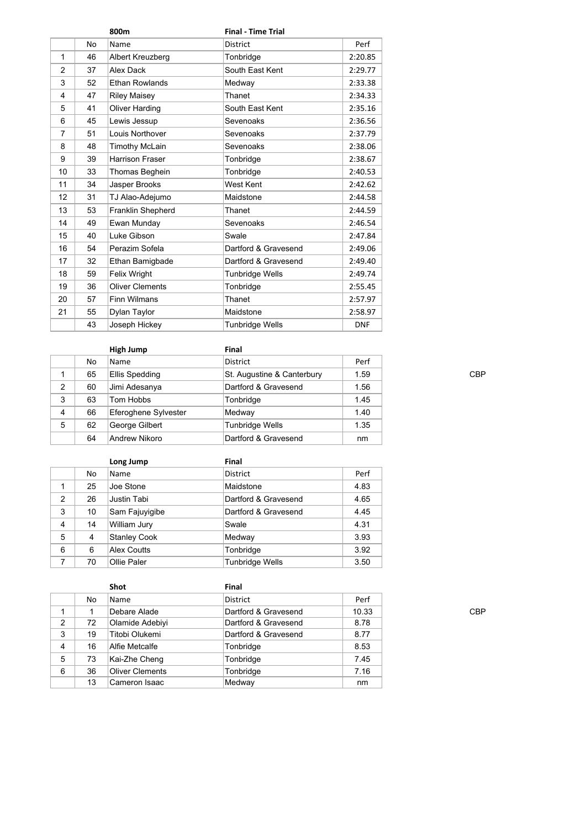|                |                | 800m                   | <b>Final - Time Trial</b> |            |
|----------------|----------------|------------------------|---------------------------|------------|
|                | N <sub>o</sub> | Name                   | <b>District</b>           | Perf       |
| 1              | 46             | Albert Kreuzberg       | Tonbridge                 | 2:20.85    |
| $\overline{2}$ | 37             | Alex Dack              | South East Kent           | 2:29.77    |
| 3              | 52             | <b>Ethan Rowlands</b>  | Medway                    | 2:33.38    |
| 4              | 47             | <b>Riley Maisey</b>    | Thanet                    | 2:34.33    |
| 5              | 41             | Oliver Harding         | South East Kent           | 2:35.16    |
| 6              | 45             | Lewis Jessup           | Sevenoaks                 | 2:36.56    |
| $\overline{7}$ | 51             | Louis Northover        | Sevenoaks                 | 2:37.79    |
| 8              | 48             | <b>Timothy McLain</b>  | Sevenoaks                 | 2:38.06    |
| 9              | 39             | <b>Harrison Fraser</b> | Tonbridge                 | 2:38.67    |
| 10             | 33             | Thomas Beghein         | Tonbridge                 | 2:40.53    |
| 11             | 34             | Jasper Brooks          | West Kent                 | 2:42.62    |
| 12             | 31             | TJ Alao-Adejumo        | Maidstone                 | 2:44.58    |
| 13             | 53             | Franklin Shepherd      | Thanet                    | 2:44.59    |
| 14             | 49             | Ewan Munday            | Sevenoaks                 | 2:46.54    |
| 15             | 40             | Luke Gibson            | Swale                     | 2:47.84    |
| 16             | 54             | Perazim Sofela         | Dartford & Gravesend      | 2:49.06    |
| 17             | 32             | Ethan Bamigbade        | Dartford & Gravesend      | 2:49.40    |
| 18             | 59             | <b>Felix Wright</b>    | <b>Tunbridge Wells</b>    | 2:49.74    |
| 19             | 36             | <b>Oliver Clements</b> | Tonbridge                 | 2:55.45    |
| 20             | 57             | <b>Finn Wilmans</b>    | Thanet                    | 2:57.97    |
| 21             | 55             | Dylan Taylor           | Maidstone                 | 2:58.97    |
|                | 43             | Joseph Hickey          | <b>Tunbridge Wells</b>    | <b>DNF</b> |

|   |    | High Jump            | Final                      |      |
|---|----|----------------------|----------------------------|------|
|   | No | <b>Name</b>          | District                   | Perf |
|   | 65 | Ellis Spedding       | St. Augustine & Canterbury | 1.59 |
| 2 | 60 | Jimi Adesanya        | Dartford & Gravesend       | 1.56 |
| 3 | 63 | Tom Hobbs            | Tonbridge                  | 1.45 |
| 4 | 66 | Eferoghene Sylvester | Medway                     | 1.40 |
| 5 | 62 | George Gilbert       | Tunbridge Wells            | 1.35 |
|   | 64 | Andrew Nikoro        | Dartford & Gravesend       | nm   |

|                |    | Long Jump           | Final                  |      |
|----------------|----|---------------------|------------------------|------|
|                | No | Name                | <b>District</b>        | Perf |
|                | 25 | Joe Stone           | Maidstone              | 4.83 |
| 2              | 26 | <b>Justin Tabi</b>  | Dartford & Gravesend   | 4.65 |
| 3              | 10 | Sam Fajuyigibe      | Dartford & Gravesend   | 4.45 |
| $\overline{4}$ | 14 | <b>William Jury</b> | Swale                  | 4.31 |
| 5              | 4  | <b>Stanley Cook</b> | Medway                 | 3.93 |
| 6              | 6  | Alex Coutts         | Tonbridge              | 3.92 |
| 7              | 70 | Ollie Paler         | <b>Tunbridge Wells</b> | 3.50 |

|   |    | Shot                   | Final                |       |
|---|----|------------------------|----------------------|-------|
|   | No | <b>Name</b>            | <b>District</b>      | Perf  |
|   |    | Debare Alade           | Dartford & Gravesend | 10.33 |
| 2 | 72 | <b>Olamide Adebiyi</b> | Dartford & Gravesend | 8.78  |
| 3 | 19 | Titobi Olukemi         | Dartford & Gravesend | 8.77  |
| 4 | 16 | Alfie Metcalfe         | Tonbridge            | 8.53  |
| 5 | 73 | Kai-Zhe Cheng          | Tonbridge            | 7.45  |
| 6 | 36 | <b>Oliver Clements</b> | Tonbridge            | 7.16  |
|   | 13 | Cameron Isaac          | Medway               | nm    |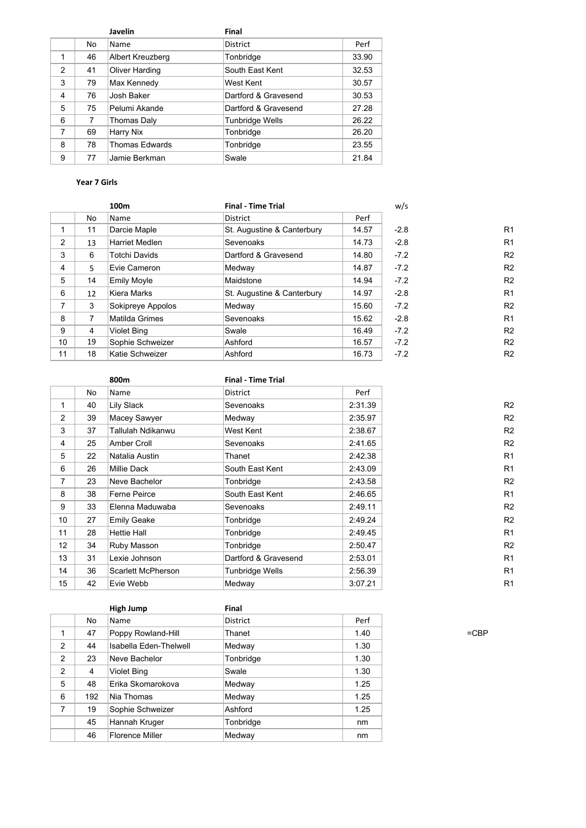|                         |    | Javelin               | Final                  |       |
|-------------------------|----|-----------------------|------------------------|-------|
|                         | No | Name                  | <b>District</b>        | Perf  |
| 1                       | 46 | Albert Kreuzberg      | Tonbridge              | 33.90 |
| $\mathcal{P}$           | 41 | <b>Oliver Harding</b> | South East Kent        | 32.53 |
| 3                       | 79 | Max Kennedy           | West Kent              | 30.57 |
| $\overline{\mathbf{4}}$ | 76 | Josh Baker            | Dartford & Gravesend   | 30.53 |
| 5                       | 75 | Pelumi Akande         | Dartford & Gravesend   | 27.28 |
| 6                       | 7  | Thomas Daly           | <b>Tunbridge Wells</b> | 26.22 |
| 7                       | 69 | Harry Nix             | Tonbridge              | 26.20 |
| 8                       | 78 | <b>Thomas Edwards</b> | Tonbridge              | 23.55 |
| 9                       | 77 | Jamie Berkman         | Swale                  | 21.84 |

# **Year 7 Girls**

| 100 <sub>m</sub> |    |                       | <b>Final - Time Trial</b>  |       | w/s    |                |
|------------------|----|-----------------------|----------------------------|-------|--------|----------------|
|                  | No | Name                  | <b>District</b>            | Perf  |        |                |
|                  | 11 | Darcie Maple          | St. Augustine & Canterbury | 14.57 | $-2.8$ | R <sub>1</sub> |
| $\overline{2}$   | 13 | <b>Harriet Medlen</b> | Sevenoaks                  | 14.73 | $-2.8$ | R <sub>1</sub> |
| 3                | 6  | <b>Totchi Davids</b>  | Dartford & Gravesend       | 14.80 | $-7.2$ | R <sub>2</sub> |
| 4                | 5  | Evie Cameron          | Medway                     | 14.87 | $-7.2$ | R <sub>2</sub> |
| 5                | 14 | <b>Emily Moyle</b>    | Maidstone                  | 14.94 | $-7.2$ | R <sub>2</sub> |
| 6                | 12 | Kiera Marks           | St. Augustine & Canterbury | 14.97 | $-2.8$ | R <sub>1</sub> |
| $\overline{7}$   | 3  | Sokipreye Appolos     | Medway                     | 15.60 | $-7.2$ | R <sub>2</sub> |
| 8                | 7  | Matilda Grimes        | Sevenoaks                  | 15.62 | $-2.8$ | R <sub>1</sub> |
| 9                | 4  | <b>Violet Bing</b>    | Swale                      | 16.49 | $-7.2$ | R <sub>2</sub> |
| 10               | 19 | Sophie Schweizer      | Ashford                    | 16.57 | $-7.2$ | R <sub>2</sub> |
| 11               | 18 | Katie Schweizer       | Ashford                    | 16.73 | $-7.2$ | R <sub>2</sub> |

|                |    | 800m                | <b>Final - Time Trial</b> |         |                |
|----------------|----|---------------------|---------------------------|---------|----------------|
|                | No | Name                | <b>District</b>           | Perf    |                |
| 1              | 40 | Lily Slack          | Sevenoaks                 | 2:31.39 | R <sub>2</sub> |
| $\overline{2}$ | 39 | Macey Sawyer        | Medway                    | 2:35.97 | R <sub>2</sub> |
| 3              | 37 | Tallulah Ndikanwu   | West Kent                 | 2:38.67 | R <sub>2</sub> |
| 4              | 25 | Amber Croll         | Sevenoaks                 | 2:41.65 | R <sub>2</sub> |
| 5              | 22 | Natalia Austin      | Thanet                    | 2:42.38 | R <sub>1</sub> |
| 6              | 26 | <b>Millie Dack</b>  | South East Kent           | 2:43.09 | R <sub>1</sub> |
| 7              | 23 | Neve Bachelor       | Tonbridge                 | 2:43.58 | R <sub>2</sub> |
| 8              | 38 | <b>Ferne Peirce</b> | South East Kent           | 2:46.65 | R <sub>1</sub> |
| 9              | 33 | Elenna Maduwaba     | Sevenoaks                 | 2:49.11 | R <sub>2</sub> |
| 10             | 27 | <b>Emily Geake</b>  | Tonbridge                 | 2:49.24 | R <sub>2</sub> |
| 11             | 28 | <b>Hettie Hall</b>  | Tonbridge                 | 2:49.45 | R <sub>1</sub> |
| 12             | 34 | Ruby Masson         | Tonbridge                 | 2:50.47 | R <sub>2</sub> |
| 13             | 31 | Lexie Johnson       | Dartford & Gravesend      | 2:53.01 | R <sub>1</sub> |
| 14             | 36 | Scarlett McPherson  | Tunbridge Wells           | 2:56.39 | R <sub>1</sub> |
| 15             | 42 | Evie Webb           | Medway                    | 3:07.21 | R <sub>1</sub> |
|                |    |                     |                           |         |                |

|                |     | High Jump              | Final     |      |
|----------------|-----|------------------------|-----------|------|
|                | No  | Name                   | District  | Perf |
| 1              | 47  | Poppy Rowland-Hill     | Thanet    | 1.40 |
| $\overline{2}$ | 44  | Isabella Eden-Thelwell | Medway    | 1.30 |
| 2              | 23  | Neve Bachelor          | Tonbridge | 1.30 |
| $\overline{2}$ | 4   | <b>Violet Bing</b>     | Swale     | 1.30 |
| 5              | 48  | Erika Skomarokova      | Medway    | 1.25 |
| 6              | 192 | Nia Thomas             | Medway    | 1.25 |
| 7              | 19  | Sophie Schweizer       | Ashford   | 1.25 |
|                | 45  | Hannah Kruger          | Tonbridge | nm   |
|                | 46  | <b>Florence Miller</b> | Medway    | nm   |